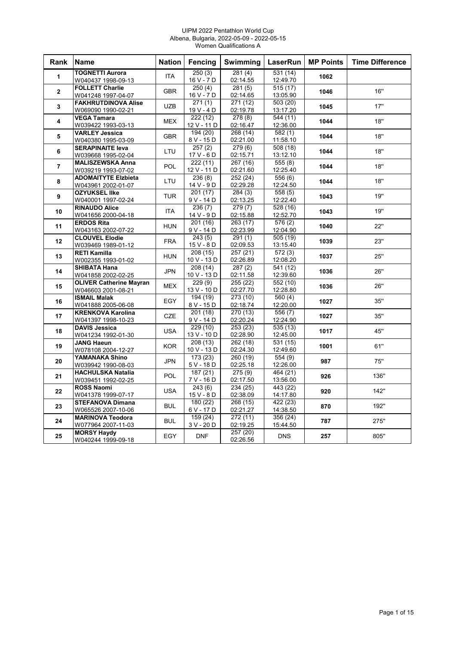#### UIPM 2022 Pentathlon World Cup Albena, Bulgaria, 2022-05-09 - 2022-05-15 Women Qualifications A

| Rank           | <b>Name</b>                                 | <b>Nation</b> | Fencing                | Swimming             | LaserRun                          | <b>MP Points</b> | <b>Time Difference</b> |
|----------------|---------------------------------------------|---------------|------------------------|----------------------|-----------------------------------|------------------|------------------------|
| $\mathbf{1}$   | <b>TOGNETTI Aurora</b>                      | <b>ITA</b>    | 250(3)                 | 281(4)               | 531(14)                           | 1062             |                        |
|                | W040437 1998-09-13                          |               | 16 V - 7 D             | 02:14.55             | 12:49.70                          |                  |                        |
| $\mathbf{2}$   | <b>FOLLETT Charlie</b>                      | <b>GBR</b>    | 250(4)                 | 281(5)               | 515(17)                           | 1046             | 16"                    |
|                | W041248 1997-04-07                          |               | 16 V - 7 D             | 02:14.65             | 13:05.90                          |                  |                        |
| 3              | <b>FAKHRUTDINOVA Alise</b>                  | <b>UZB</b>    | 271(1)                 | 271 (12)             | 503 (20)                          | 1045             | 17"                    |
|                | W069090 1990-02-21                          |               | 19 V - 4 D             | 02:19.78             | 13:17.20                          |                  |                        |
| 4              | <b>VEGA Tamara</b>                          | <b>MEX</b>    | 222(12)<br>12 V - 11 D | 278 (8)<br>02:16.47  | $\overline{544}$ (11)<br>12:36.00 | 1044             | 18"                    |
|                | W039422 1993-03-13<br><b>VARLEY Jessica</b> |               | 194 (20)               | 268 (14)             | 582(1)                            |                  |                        |
| 5              | W040380 1995-03-09                          | <b>GBR</b>    | 8 V - 15 D             | 02:21.00             | 11:58.10                          | 1044             | 18"                    |
|                | <b>SERAPINAITE leva</b>                     |               | 257(2)                 | 279(6)               | 508 (18)                          |                  |                        |
| 6              | W039668 1995-02-04                          | LTU           | $17V - 6D$             | 02:15.71             | 13:12.10                          | 1044             | 18"                    |
|                | <b>MALISZEWSKA Anna</b>                     |               | 222(11)                | 267 (16)             | 555(8)                            |                  |                        |
| $\overline{7}$ | W039219 1993-07-02                          | POL           | 12 V - 11 D            | 02:21.60             | 12:25.40                          | 1044             | 18"                    |
|                | <b>ADOMAITYTE Elzbieta</b>                  |               | 236(8)                 | 252 (24)             | 556 (6)                           |                  |                        |
| 8              | W043961 2002-01-07                          | LTU           | 14 V - 9 D             | 02:29.28             | 12:24.50                          | 1044             | 18"                    |
|                | <b>OZYUKSEL IIke</b>                        |               | 201(17)                | 284(3)               | 558(5)                            |                  |                        |
| 9              | W040001 1997-02-24                          | <b>TUR</b>    | 9 V - 14 D             | 02:13.25             | 12:22.40                          | 1043             | 19"                    |
|                | <b>RINAUDO Alice</b>                        |               | 236(7)                 | 279(7)               | 528 (16)                          |                  |                        |
| 10             | W041656 2000-04-18                          | <b>ITA</b>    | 14 V - 9 D             | 02:15.88             | 12:52.70                          | 1043             | 19"                    |
|                | <b>ERDOS Rita</b>                           |               | 201 (16)               | 263 (17)             | 576 (2)                           |                  |                        |
| 11             | W043163 2002-07-22                          | <b>HUN</b>    | 9 V - 14 D             | 02:23.99             | 12:04.90                          | 1040             | 22"                    |
|                | <b>CLOUVEL Elodie</b>                       |               | 243(5)                 | $\overline{291(1)}$  | 505 (19)                          |                  |                        |
| 12             | W039469 1989-01-12                          | <b>FRA</b>    | 15 V - 8 D             | 02:09.53             | 13:15.40                          | 1039             | 23"                    |
|                | <b>RETI Kamilla</b>                         |               | 208 (15)               | 257 (21)             | 572(3)                            |                  |                        |
| 13             | W002355 1993-01-02                          | <b>HUN</b>    | 10 V - 13 D            | 02:26.89             | 12:08.20                          | 1037             | 25"                    |
|                | <b>SHIBATA Hana</b>                         |               | 208 (14)               | 287(2)               | 541 (12)                          |                  |                        |
| 14             | W041858 2002-02-25                          | <b>JPN</b>    | 10 V - 13 D            | 02:11.58             | 12:39.60                          | 1036             | 26"                    |
|                | <b>OLIVER Catherine Mayran</b>              | <b>MEX</b>    | 229(9)                 | 255 (22)             | 552 (10)                          |                  | 26"                    |
| 15             | W046603 2001-08-21                          |               | 13 V - 10 D            | 02:27.70             | 12:28.80                          | 1036             |                        |
| 16             | <b>ISMAIL Malak</b>                         | EGY           | 194 (19)               | 273 (10)             | 560 (4)                           | 1027             | 35"                    |
|                | W041888 2005-06-08                          |               | 8 V - 15 D             | 02:18.74             | 12:20.00                          |                  |                        |
| 17             | <b>KRENKOVA Karolina</b>                    | <b>CZE</b>    | 201(18)                | 270 (13)             | 556(7)                            | 1027             | 35"                    |
|                | W041397 1998-10-23                          |               | 9 V - 14 D             | 02:20.24             | 12:24.90                          |                  |                        |
| 18             | <b>DAVIS Jessica</b>                        | <b>USA</b>    | 229 (10)               | 253 (23)             | 535 (13)                          | 1017             | 45"                    |
|                | W041234 1992-01-30                          |               | 13 V - 10 D            | 02:28.90             | 12:45.00                          |                  |                        |
| 19             | <b>JANG Haeun</b>                           | <b>KOR</b>    | 208 (13)               | 262 (18)             | 531 (15)                          | 1001             | 61"                    |
|                | W078108 2004-12-27                          |               | 10 V - 13 D            | 02:24.30             | 12:49.60                          |                  |                        |
| 20             | YAMANAKA Shino                              | <b>JPN</b>    | 173 (23)               | 260 (19)             | 554 (9)                           | 987              | 75"                    |
|                | W039942 1990-08-03                          |               | 5 V - 18 D             | 02:25.18             | 12:26.00                          |                  |                        |
| 21             | <b>HACHULSKA Natalia</b>                    | <b>POL</b>    | 187(21)                | 275 (9)              | 464 (21)                          | 926              | 136"                   |
|                | W039451 1992-02-25                          |               | 7 V - 16 D             | 02:17.50             | 13:56.00                          |                  |                        |
| 22             | <b>ROSS Naomi</b>                           | <b>USA</b>    | 243(6)                 | 234 (25)             | 443 (22)                          | 920              | 142"                   |
|                | W041378 1999-07-17                          |               | 15 V - 8 D             | 02:38.09             | 14:17.80                          |                  |                        |
| 23             | <b>STEFANOVA Dimana</b>                     | <b>BUL</b>    | 180 (22)               | 268 (15)             | 422 (23)                          | 870              | 192"                   |
|                | W065526 2007-10-06                          |               | 6 V - 17 D             | 02:21.27             | 14:38.50                          |                  |                        |
| 24             | <b>MARINOVA Teodora</b>                     | <b>BUL</b>    | 159 (24)<br>3 V - 20 D | 272 (11)<br>02:19.25 | 356(24)<br>15:44.50               | 787              | 275"                   |
|                | W077964 2007-11-03<br><b>MORSY Haydy</b>    |               |                        | 257(20)              |                                   |                  |                        |
| 25             |                                             | EGY           | <b>DNF</b>             |                      | <b>DNS</b>                        | 257              | 805"                   |
|                | W040244 1999-09-18                          |               |                        | 02:26.56             |                                   |                  |                        |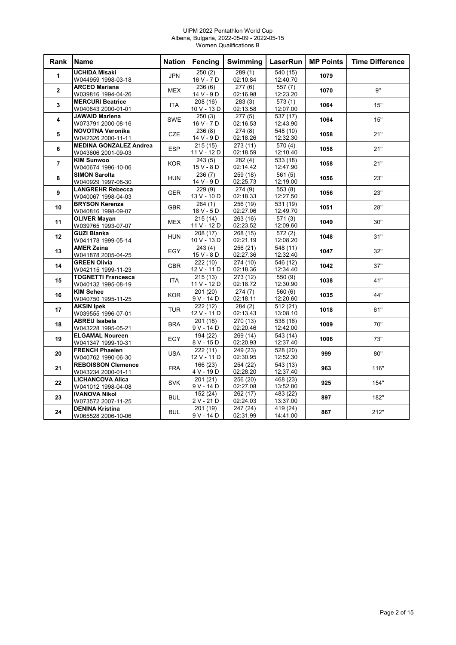#### UIPM 2022 Pentathlon World Cup Albena, Bulgaria, 2022-05-09 - 2022-05-15 Women Qualifications B

| Rank           | <b>Name</b>                   | <b>Nation</b> | Fencing     | Swimming | LaserRun              | <b>MP Points</b> | <b>Time Difference</b> |
|----------------|-------------------------------|---------------|-------------|----------|-----------------------|------------------|------------------------|
| 1              | <b>UCHIDA Misaki</b>          | <b>JPN</b>    | 250(2)      | 289(1)   | 540 (15)              | 1079             |                        |
|                | W044959 1998-03-18            |               | 16 V - 7 D  | 02:10.84 | 12:40.70              |                  |                        |
| $\overline{2}$ | <b>ARCEO Mariana</b>          | <b>MEX</b>    | 236(6)      | 277(6)   | 557(7)                | 1070             | <b>9"</b>              |
|                | W039816 1994-04-26            |               | 14 V - 9 D  | 02:16.98 | 12:23.20              |                  |                        |
| 3              | <b>MERCURI Beatrice</b>       | <b>ITA</b>    | 208(16)     | 283(3)   | 573(1)                | 1064             | 15"                    |
|                | W040843 2000-01-01            |               | 10 V - 13 D | 02:13.58 | 12:07.00              |                  |                        |
| 4              | <b>JAWAID Marlena</b>         | SWE           | 250(3)      | 277(5)   | 537 (17)              | 1064             | 15"                    |
|                | W073791 2000-08-16            |               | 16 V - 7 D  | 02:16.53 | 12:43.90              |                  |                        |
| 5              | <b>NOVOTNA Veronika</b>       | <b>CZE</b>    | 236(8)      | 274(8)   | 548 (10)              | 1058             | 21"                    |
|                | W042326 2000-11-11            |               | 14 V - 9 D  | 02:18.26 | 12:32.30              |                  |                        |
| 6              | <b>MEDINA GONZALEZ Andrea</b> | <b>ESP</b>    | 215(15)     | 273 (11) | 570 (4)               | 1058             | 21"                    |
|                | W043606 2001-09-03            |               | 11 V - 12 D | 02:18.59 | 12:10.40              |                  |                        |
| $\overline{7}$ | <b>KIM Sunwoo</b>             | <b>KOR</b>    | 243(5)      | 282(4)   | 533 (18)              | 1058             | 21"                    |
|                | W040674 1996-10-06            |               | $15V - 8D$  | 02:14.42 | 12:47.90              |                  |                        |
| 8              | <b>SIMON Sarolta</b>          | <b>HUN</b>    | 236(7)      | 259 (18) | 561(5)                | 1056             | 23"                    |
|                | W040929 1997-08-30            |               | 14 V - 9 D  | 02:25.73 | 12:19.00              |                  |                        |
| 9              | <b>LANGREHR Rebecca</b>       | <b>GER</b>    | 229(9)      | 274(9)   | 553(8)                | 1056             | 23"                    |
|                | W040067 1998-04-03            |               | 13 V - 10 D | 02:18.33 | 12:27.50              |                  |                        |
| 10             | <b>BRYSON Kerenza</b>         | <b>GBR</b>    | 264(1)      | 256 (19) | 531 (19)              | 1051             | 28"                    |
|                | W040816 1998-09-07            |               | 18 V - 5 D  | 02:27.06 | 12:49.70              |                  |                        |
| 11             | <b>OLIVER Mavan</b>           | <b>MEX</b>    | 215(14)     | 263 (16) | 571(3)                | 1049             | 30"                    |
|                | W039765 1993-07-07            |               | 11 V - 12 D | 02:23.52 | 12:09.60              |                  |                        |
| 12             | <b>GUZI Blanka</b>            | <b>HUN</b>    | 208 (17)    | 268 (15) | 572(2)                | 1048             | 31"                    |
|                | W041178 1999-05-14            |               | 10 V - 13 D | 02:21.19 | 12:08.20              |                  |                        |
| 13             | <b>AMER Zeina</b>             | EGY           | 243(4)      | 256 (21) | 548 (11)              | 1047             | 32"                    |
|                | W041878 2005-04-25            |               | $15V - 8D$  | 02:27.36 | 12:32.40              |                  |                        |
| 14             | <b>GREEN Olivia</b>           | <b>GBR</b>    | 222(10)     | 274 (10) | 546 (12)              | 1042             | 37"                    |
|                | W042115 1999-11-23            |               | 12 V - 11 D | 02:18.36 | 12:34.40              |                  |                        |
| 15             | <b>TOGNETTI Francesca</b>     | <b>ITA</b>    | 215(13)     | 273 (12) | 550 (9)               | 1038             | 41"                    |
|                | W040132 1995-08-19            |               | 11 V - 12 D | 02:18.72 | 12:30.90              |                  |                        |
| 16             | <b>KIM Sehee</b>              | <b>KOR</b>    | 201 (20)    | 274(7)   | $\overline{560}$ (6)  | 1035             | 44"                    |
|                | W040750 1995-11-25            |               | 9 V - 14 D  | 02:18.11 | 12:20.60              |                  |                        |
| 17             | <b>AKSIN Ipek</b>             | <b>TUR</b>    | 222 (12)    | 284(2)   | 512 (21)              | 1018             | 61"                    |
|                | W039555 1996-07-01            |               | 12 V - 11 D | 02:13.43 | 13:08.10              |                  |                        |
| 18             | <b>ABREU Isabela</b>          | <b>BRA</b>    | 201(18)     | 270 (13) | $\overline{538}$ (16) | 1009             | 70"                    |
|                | W043228 1995-05-21            |               | 9 V - 14 D  | 02:20.46 | 12:42.00              |                  |                        |
| 19             | <b>ELGAMAL Noureen</b>        | EGY           | 194 (22)    | 269(14)  | 543 (14)              | 1006             | 73"                    |
|                | W041347 1999-10-31            |               | 8 V - 15 D  | 02:20.93 | 12:37.40              |                  |                        |
| 20             | <b>FRENCH Phaelen</b>         | <b>USA</b>    | 222(11)     | 249 (23) | $\overline{528}$ (20) | 999              | 80"                    |
|                | W040762 1990-06-30            |               | 12 V - 11 D | 02:30.95 | 12:52.30              |                  |                        |
| 21             | <b>REBOISSON Clemence</b>     | <b>FRA</b>    | 166 (23)    | 254 (22) | 543 (13)              | 963              | 116"                   |
|                | W043234 2000-01-11            |               | 4 V - 19 D  | 02:28.20 | 12:37.40              |                  |                        |
| 22             | <b>LICHANCOVA Alica</b>       | <b>SVK</b>    | 201(21)     | 256 (20) | 468 (23)              | 925              | 154"                   |
|                | W041012 1998-04-08            |               | 9 V - 14 D  | 02:27.08 | 13:52.80              |                  |                        |
| 23             | <b>IVANOVA Nikol</b>          | <b>BUL</b>    | 152(24)     | 262(17)  | 483 (22)              | 897              | 182"                   |
|                | W073572 2007-11-25            |               | 2 V - 21 D  | 02:24.03 | 13:37.00              |                  |                        |
| 24             | <b>DENINA Kristina</b>        | <b>BUL</b>    | 201 (19)    | 247 (24) | 419 (24)              | 867              | 212"                   |
|                | W065528 2006-10-06            |               | 9 V - 14 D  | 02:31.99 | 14:41.00              |                  |                        |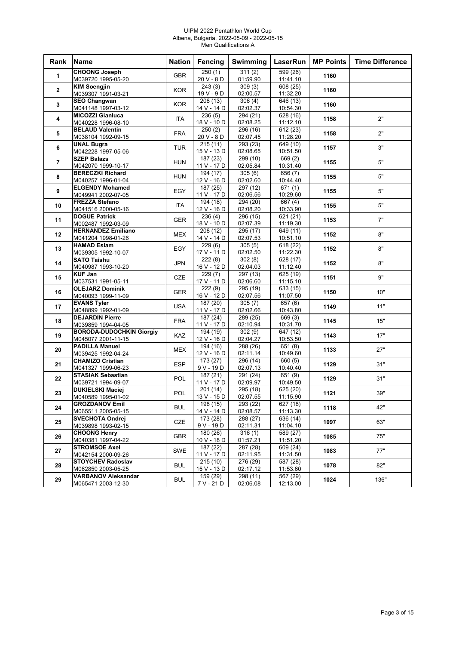#### UIPM 2022 Pentathlon World Cup Albena, Bulgaria, 2022-05-09 - 2022-05-15 Men Qualifications A

| Rank           | <b>Name</b>                                  | <b>Nation</b> | Fencing                 | <b>Swimming</b>      | LaserRun                          | <b>MP Points</b> | <b>Time Difference</b> |
|----------------|----------------------------------------------|---------------|-------------------------|----------------------|-----------------------------------|------------------|------------------------|
| 1              | <b>CHOONG Joseph</b>                         | <b>GBR</b>    | 250(1)                  | 311(2)               | 599 (26)                          | 1160             |                        |
|                | M039720 1995-05-20                           |               | 20 V - 8 D              | 01:59.90             | 11:41.10                          |                  |                        |
| $\mathbf{2}$   | <b>KIM Soengjin</b>                          | <b>KOR</b>    | $\overline{243(3)}$     | 309(3)               | 608 (25)                          | 1160             |                        |
|                | M039307 1991-03-21                           |               | 19 V - 9 D              | 02:00.57             | 11:32.20                          |                  |                        |
| 3              | <b>SEO Changwan</b>                          | <b>KOR</b>    | 208 (13)                | 306(4)               | 646 (13)                          | 1160             |                        |
|                | M041148 1997-03-12                           |               | 14 V - 14 D             | 02:02.37             | 10:54.30                          |                  |                        |
| 4              | <b>MICOZZI Gianluca</b>                      | <b>ITA</b>    | 236(5)                  | 294 (21)             | 628 (16)                          | 1158             | 2"                     |
|                | M040228 1996-08-10<br><b>BELAUD Valentin</b> |               | 18 V - 10 D<br>250(2)   | 02:08.25<br>296 (16) | 11:12.10<br>612(23)               |                  |                        |
| 5              | M038104 1992-09-15                           | <b>FRA</b>    | 20 V - 8 D              | 02:07.45             | 11:28.20                          | 1158             | 2"                     |
|                | <b>UNAL Bugra</b>                            |               | 215(11)                 | 293 (23)             | 649 (10)                          |                  |                        |
| 6              | M042228 1997-05-06                           | <b>TUR</b>    | 15 V - 13 D             | 02:08.65             | 10:51.50                          | 1157             | 3"                     |
|                | <b>SZEP Balazs</b>                           |               | 187 (23)                | 299 (10)             | 669 (2)                           |                  |                        |
| $\overline{7}$ | M042070 1999-10-17                           | <b>HUN</b>    | 11 V - 17 D             | 02:05.84             | 10:31.40                          | 1155             | 5"                     |
|                | <b>BERECZKI Richard</b>                      |               | 194 (17)                | 305(6)               | 656(7)                            |                  |                        |
| 8              | M040257 1996-01-04                           | <b>HUN</b>    | 12 V - 16 D             | 02:02.60             | 10:44.40                          | 1155             | 5"                     |
| 9              | <b>ELGENDY Mohamed</b>                       | EGY           | 187 (25)                | 297 (12)             | 671(1)                            | 1155             | 5"                     |
|                | M049941 2002-07-05                           |               | 11 V - 17 D             | 02:06.56             | 10:29.60                          |                  |                        |
| 10             | <b>FREZZA Stefano</b>                        | ITA           | 194 (18)                | 294 (20)             | 667 (4)                           | 1155             | 5"                     |
|                | M041516 2000-05-16                           |               | 12 V - 16 D             | 02:08.20             | 10:33.90                          |                  |                        |
| 11             | <b>DOGUE Patrick</b>                         | <b>GER</b>    | 236(4)                  | 296 (15)             | 621 (21)                          | 1153             | 7"                     |
|                | M002487 1992-03-09                           |               | 18 V - 10 D             | 02:07.39             | 11:19.30                          |                  |                        |
| 12             | <b>HERNANDEZ Emiliano</b>                    | <b>MEX</b>    | 208(12)                 | 295 (17)             | 649 (11)                          | 1152             | 8"                     |
|                | M041204 1998-01-26                           |               | 14 V - 14 D             | 02:07.53             | 10:51.10                          |                  |                        |
| 13             | <b>HAMAD Eslam</b>                           | EGY           | 229(6)                  | 305(5)               | 618 (22)                          | 1152             | 8"                     |
|                | M039305 1992-10-07                           |               | 17 V - 11 D             | 02:02.50             | 11:22.30                          |                  |                        |
| 14             | <b>SATO Taishu</b>                           | <b>JPN</b>    | 222(8)                  | 302(8)               | 628 (17)                          | 1152             | 8"                     |
|                | M040987 1993-10-20                           |               | 16 V - 12 D             | 02:04.03             | 11:12.40                          |                  |                        |
| 15             | <b>KUF Jan</b>                               | <b>CZE</b>    | 229(7)                  | 297 (13)             | 625 (19)                          | 1151             | 9"                     |
|                | M037531 1991-05-11<br><b>OLEJARZ Dominik</b> |               | 17 V - 11 D<br>222(9)   | 02:06.60<br>295 (19) | 11:15.10<br>$\overline{633}$ (15) |                  |                        |
| 16             | M040093 1999-11-09                           | <b>GER</b>    | 16 V - 12 D             | 02:07.56             | 11:07.50                          | 1150             | 10"                    |
|                | <b>EVANS Tyler</b>                           |               | 187 (20)                | 305(7)               | 657(6)                            |                  |                        |
| 17             | M048899 1992-01-09                           | <b>USA</b>    | 11 V - 17 D             | 02:02.66             | 10:43.80                          | 1149             | 11"                    |
|                | <b>DEJARDIN Pierre</b>                       |               | 187 (24)                | 289 (25)             | 669 (3)                           |                  |                        |
| 18             | M039859 1994-04-05                           | <b>FRA</b>    | 11 V - 17 D             | 02:10.94             | 10:31.70                          | 1145             | 15"                    |
|                | <b>BORODA-DUDOCHKIN Giorgiy</b>              |               | 194 (19)                | 302(9)               | 647 (12)                          |                  |                        |
| 19             | M045077 2001-11-15                           | <b>KAZ</b>    | 12 V - 16 D             | 02:04.27             | 10:53.50                          | 1143             | 17"                    |
|                | <b>PADILLA Manuel</b>                        | <b>MEX</b>    | 194 (16)                | 288 (26)             | 651(8)                            |                  | 27"                    |
| 20             | M039425 1992-04-24                           |               | 12 V - 16 D             | 02:11.14             | 10:49.60                          | 1133             |                        |
| 21             | <b>CHAMIZO Cristian</b>                      | <b>ESP</b>    | 173(27)                 | 296 (14)             | 660 (5)                           | 1129             | 31"                    |
|                | M041327 1999-06-23                           |               | $9V - 19D$              | 02:07.13             | 10:40.40                          |                  |                        |
| 22             | <b>STASIAK Sebastian</b>                     | POL           | 187 (21)                | 291 (24)             | 651 (9)                           | 1129             | 31"                    |
|                | M039721 1994-09-07                           |               | 11 V - 17 D             | 02:09.97             | 10:49.50                          |                  |                        |
| 23             | <b>DUKIELSKI Maciej</b>                      | POL           | 201(14)                 | 295 (18)             | 625 (20)                          | 1121             | 39"                    |
|                | M040589 1995-01-02                           |               | 13 V - 15 D             | 02:07.55             | 11:15.90                          |                  |                        |
| 24             | <b>GROZDANOV Emil</b>                        | <b>BUL</b>    | 198 (15)                | 293 (22)             | 627 (18)                          | 1118             | 42"                    |
|                | M065511 2005-05-15                           |               | 14 V - 14 D             | 02:08.57             | 11:13.30                          |                  |                        |
| 25             | <b>SVECHOTA Ondrej</b>                       | <b>CZE</b>    | 173 (28)                | 288 (27)             | $\sqrt{636}$ (14)                 | 1097             | 63"                    |
|                | M039898 1993-02-15                           |               | 9 V - 19 D              | 02:11.31             | 11:04.10                          |                  |                        |
| 26             | <b>CHOONG Henry</b><br>M040381 1997-04-22    | <b>GBR</b>    | 180 (26)<br>10 V - 18 D | 316(1)<br>01:57.21   | 589 (27)<br>11:51.20              | 1085             | 75"                    |
|                | <b>STROMSOE Axel</b>                         |               | 187 (22)                | 287 (28)             | 609 (24)                          |                  |                        |
| 27             | M042154 2000-09-26                           | SWE           | 11 V - 17 D             | 02:11.95             | 11:31.50                          | 1083             | 77"                    |
|                | <b>STOYCHEV Radoslav</b>                     |               | 215(10)                 | 276 (29)             | 587 (28)                          |                  |                        |
| 28             | M062850 2003-05-25                           | <b>BUL</b>    | 15 V - 13 D             | 02:17.12             | 11:53.60                          | 1078             | 82"                    |
|                | <b>VARBANOV Aleksandar</b>                   |               | 159(29)                 | 298 (11)             | 567 (29)                          |                  |                        |
| 29             | M065471 2003-12-30                           | <b>BUL</b>    | 7 V - 21 D              | 02:06.08             | 12:13.00                          | 1024             | 136"                   |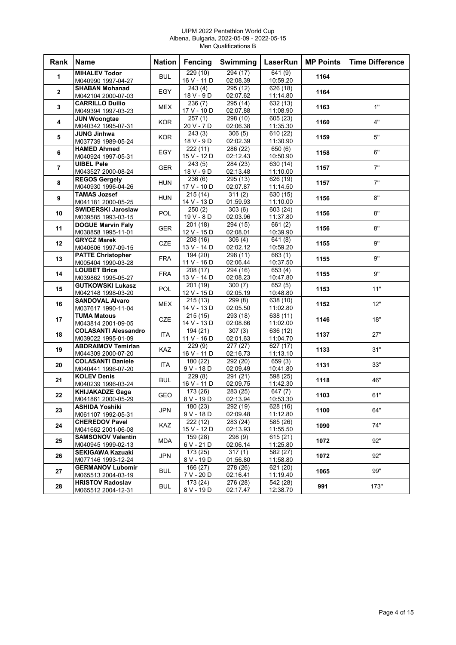#### UIPM 2022 Pentathlon World Cup Albena, Bulgaria, 2022-05-09 - 2022-05-15 Men Qualifications B

| Rank           | Name                                            | <b>Nation</b> | Fencing                | Swimming                       | <b>LaserRun</b>              | <b>MP Points</b> | <b>Time Difference</b> |
|----------------|-------------------------------------------------|---------------|------------------------|--------------------------------|------------------------------|------------------|------------------------|
| $\mathbf{1}$   | <b>MIHALEV Todor</b>                            | <b>BUL</b>    | 229(10)                | 294(17)                        | 641(9)                       | 1164             |                        |
|                | M040990 1997-04-27                              |               | 16 V - 11 D            | 02:08.39                       | 10:59.20                     |                  |                        |
| $\mathbf{2}$   | <b>SHABAN Mohanad</b>                           | EGY           | 243(4)                 | 295 (12)                       | $\overline{626}$ (18)        | 1164             |                        |
|                | M042104 2000-07-03                              |               | 18 V - 9 D             | 02:07.62                       | 11:14.80                     |                  |                        |
| $\mathbf{3}$   | <b>CARRILLO Duilio</b><br>M049394 1997-03-23    | <b>MEX</b>    | 236(7)<br>17 V - 10 D  | 295(14)<br>02:07.88            | 632(13)<br>11:08.90          | 1163             | 1"                     |
|                | <b>JUN Woongtae</b>                             |               | $\overline{257}$ (1)   | 298 (10)                       | 605 (23)                     |                  |                        |
| 4              | M040342 1995-07-31                              | <b>KOR</b>    | 20 V - 7 D             | 02:06.38                       | 11:35.30                     | 1160             | 4"                     |
| 5              | <b>JUNG Jinhwa</b><br>M037739 1989-05-24        | <b>KOR</b>    | 243(3)<br>18 V - 9 D   | $\frac{1}{306(5)}$<br>02:02.39 | $\sqrt{610(22)}$<br>11:30.90 | 1159             | 5"                     |
|                | <b>HAMED Ahmed</b>                              |               | 222(11)                | 286 (22)                       | 650 (6)                      |                  |                        |
| 6              | M040924 1997-05-31                              | EGY           | 15 V - 12 D            | 02:12.43                       | 10:50.90                     | 1158             | 6"                     |
| $\overline{7}$ | <b>UIBEL Pele</b>                               | GER           | 243(5)                 | 284 (23)                       | 630 (14)                     | 1157             | 7"                     |
|                | M043527 2000-08-24                              |               | 18 V - 9 D             | 02:13.48                       | 11:10.00                     |                  |                        |
| 8              | <b>REGOS Gergely</b>                            | <b>HUN</b>    | 236(6)                 | 295(13)                        | $\overline{626(19)}$         | 1157             | 7"                     |
|                | M040930 1996-04-26                              |               | 17 V - 10 D            | 02:07.87                       | 11:14.50                     |                  |                        |
| 9              | <b>TAMAS Jozsef</b>                             | <b>HUN</b>    | 215 (14)               | 311(2)<br>01:59.93             | 630(15)<br>11:10.00          | 1156             | 8"                     |
|                | M041181 2000-05-25<br><b>SWIDERSKI Jaroslaw</b> |               | 14 V - 13 D<br>250(2)  | 303(6)                         | 603(24)                      |                  |                        |
| 10             | M039585 1993-03-15                              | <b>POL</b>    | 19 V - 8 D             | 02:03.96                       | 11:37.80                     | 1156             | 8"                     |
|                | <b>DOGUE Marvin Faly</b>                        |               | 201 (18)               | 294 (15)                       | 661(2)                       |                  |                        |
| 11             | M038858 1995-11-01                              | <b>GER</b>    | 12 V - 15 D            | 02:08.01                       | 10:39.90                     | 1156             | 8"                     |
|                | <b>GRYCZ Marek</b>                              |               | 208 (16)               | 306(4)                         | 641(8)                       |                  | 9"                     |
| 12             | M040606 1997-09-15                              | CZE           | 13 V - 14 D            | 02:02.12                       | 10:59.20                     | 1155             |                        |
| 13             | <b>PATTE Christopher</b>                        | <b>FRA</b>    | 194 (20)               | 298(11)                        | $\overline{663}$ (1)         | 1155             | 9"                     |
|                | M005404 1990-03-28                              |               | 11 V - 16 D            | 02:06.44                       | 10:37.50                     |                  |                        |
| 14             | <b>LOUBET Brice</b>                             | <b>FRA</b>    | 208(17)                | 294(16)                        | $\sqrt{653(4)}$              | 1155             | 9"                     |
|                | M039862 1995-05-27                              |               | 13 V - 14 D            | 02:08.23                       | 10:47.80                     |                  |                        |
| 15             | <b>GUTKOWSKI Lukasz</b>                         | <b>POL</b>    | 201 (19)               | 300(7)                         | $\overline{652}$ (5)         | 1153             | 11"                    |
|                | M042148 1998-03-20                              |               | 12 V - 15 D            | 02:05.19                       | 10:48.80                     |                  |                        |
| 16             | <b>SANDOVAL Alvaro</b>                          | <b>MEX</b>    | 215(13)<br>14 V - 13 D | 299(8)<br>02:05.50             | 638 (10)<br>11:02.80         | 1152             | 12"                    |
|                | M037617 1990-11-04<br>TUMA Matous               |               | 215 (15)               | 293 (18)                       | 638 (11)                     |                  |                        |
| 17             | M043814 2001-09-05                              | <b>CZE</b>    | 14 V - 13 D            | 02:08.66                       | 11:02.00                     | 1146             | 18"                    |
|                | <b>COLASANTI Alessandro</b>                     |               | 194 (21)               | $\overline{307(3)}$            | $\sqrt{636(12)}$             |                  |                        |
| 18             | M039022 1995-01-09                              | ITA           | 11 V - 16 D            | 02:01.63                       | 11:04.70                     | 1137             | 27"                    |
|                | <b>ABDRAIMOV Temirlan</b>                       |               | 229(9)                 | 277 (27)                       | 627 (17)                     |                  |                        |
| 19             | M044309 2000-07-20                              | KAZ           | 16 V - 11 D            | 02:16.73                       | 11:13.10                     | 1133             | 31"                    |
| 20             | <b>COLASANTI Daniele</b>                        |               | 180(22)                | 292(20)                        | 659(3)                       | 1131             | 33"                    |
|                | M040441 1996-07-20                              | ITA           | 9 V - 18 D             | 02:09.49                       | 10:41.80                     |                  |                        |
| 21             | <b>KOLEV Denis</b>                              | <b>BUL</b>    | 229(8)                 | 291 (21)                       | 598 (25)                     | 1118             | 46"                    |
|                | M040239 1996-03-24                              |               | 16 V - 11 D            | 02:09.75                       | 11:42.30                     |                  |                        |
| 22             | <b>KHIJAKADZE Gaga</b>                          | <b>GEO</b>    | 173 (26)               | 283 (25)                       | 647 (7)                      | 1103             | 61"                    |
|                | M041861 2000-05-29                              |               | 8 V - 19 D             | 02:13.94                       | 10:53.30                     |                  |                        |
| 23             | <b>ASHIDA Yoshiki</b><br>M061107 1992-05-31     | JPN           | 180 (23)<br>9 V - 18 D | 292 (19)<br>02:09.48           | 628 (16)<br>11:12.80         | 1100             | 64"                    |
|                | <b>CHEREDOV Pavel</b>                           |               | 222 (12)               | 283 (24)                       | 585 (26)                     |                  |                        |
| 24             | M041662 2001-06-08                              | <b>KAZ</b>    | 15 V - 12 D            | 02:13.93                       | 11:55.50                     | 1090             | 74"                    |
|                | <b>SAMSONOV Valentin</b>                        |               | 159 (28)               | 298(9)                         | 615(21)                      |                  |                        |
| 25             | M040945 1999-02-13                              | MDA           | 6 V - 21 D             | 02:06.14                       | 11:25.80                     | 1072             | 92"                    |
|                | <b>SEKIGAWA Kazuaki</b>                         |               | 173(25)                | 317(1)                         | $\sqrt{582(27)}$             |                  | 92"                    |
| 26             | M077146 1993-12-24                              | JPN           | 8 V - 19 D             | 01:56.80                       | 11:58.80                     | 1072             |                        |
| 27             | <b>GERMANOV Lubomir</b>                         | <b>BUL</b>    | 166 (27)               | 278 (26)                       | 621 (20)                     | 1065             | 99"                    |
|                | M065513 2004-03-19                              |               | 7 V - 20 D             | 02:16.41                       | 11:19.40                     |                  |                        |
| 28             | <b>HRISTOV Radoslav</b>                         | <b>BUL</b>    | 173 (24)               | 276 (28)                       | $\overline{542}$ (28)        | 991              | 173"                   |
|                | M065512 2004-12-31                              |               | 8 V - 19 D             | 02:17.47                       | 12:38.70                     |                  |                        |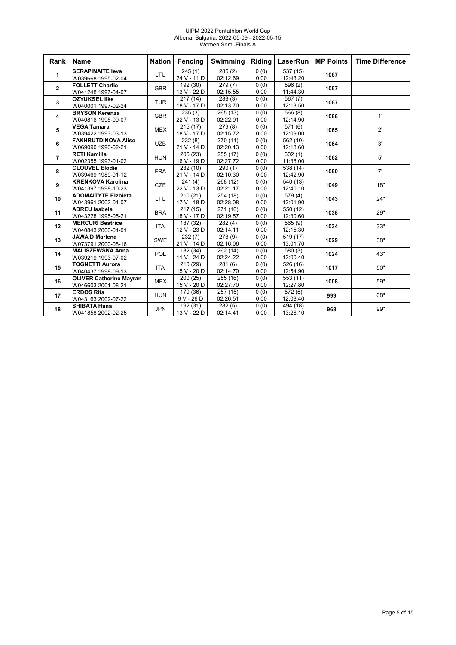#### UIPM 2022 Pentathlon World Cup Albena, Bulgaria, 2022-05-09 - 2022-05-15 Women Semi-Finals A

| Rank           | <b>Name</b>                                      | <b>Nation</b> | Fencing               | Swimming             | Riding       | LaserRun              | <b>MP Points</b> | <b>Time Difference</b> |
|----------------|--------------------------------------------------|---------------|-----------------------|----------------------|--------------|-----------------------|------------------|------------------------|
| 1              | <b>SERAPINAITE leva</b>                          | LTU           | 245(1)                | $\overline{285}$ (2) | 0(0)         | $\overline{537}$ (15) | 1067             |                        |
|                | W039668 1995-02-04                               |               | 24 V - 11 D           | 02:12.69             | 0.00         | 12:43.20              |                  |                        |
| $\overline{2}$ | <b>FOLLETT Charlie</b>                           | <b>GBR</b>    | 192 (30)              | 279(7)               | 0(0)         | 596 (2)               | 1067             |                        |
|                | W041248 1997-04-07                               |               | 13 V - 22 D           | 02:15.55             | 0.00         | 11:44.30              |                  |                        |
| 3              | <b>OZYUKSEL IIke</b>                             | <b>TUR</b>    | 217(14)               | 283(3)               | 0(0)         | 567(7)                | 1067             |                        |
|                | W040001 1997-02-24                               |               | 18 V - 17 D           | 02:13.70             | 0.00         | 12:13.50              |                  |                        |
| 4              | <b>BRYSON Kerenza</b>                            | <b>GBR</b>    | 235(3)                | 265(13)              | 0(0)         | 566(8)                | 1066             | 1"                     |
|                | W040816 1998-09-07                               |               | 22 V - 13 D           | 02:22.91             | 0.00         | 12:14.90              |                  |                        |
| 5              | <b>VEGA Tamara</b>                               | <b>MEX</b>    | 215(17)               | 279(8)               | 0(0)         | 571 (6)               | 1065             | 2"                     |
|                | W039422 1993-03-13<br><b>FAKHRUTDINOVA Alise</b> |               | 18 V - 17 D           | 02:15.72             | 0.00         | 12:09.00              |                  |                        |
| 6              | W069090 1990-02-21                               | <b>UZB</b>    | 232(8)<br>21 V - 14 D | 270 (11)<br>02:20.13 | 0(0)<br>0.00 | 562 (10)<br>12:18.60  | 1064             | 3"                     |
|                | <b>RETI Kamilla</b>                              |               | 205(23)               | 255(17)              |              | $\sqrt{602(1)}$       |                  |                        |
| $\overline{7}$ | W002355 1993-01-02                               | <b>HUN</b>    | 16 V - 19 D           | 02:27.72             | 0(0)<br>0.00 | 11:38.00              | 1062             | 5"                     |
|                | <b>CLOUVEL Elodie</b>                            |               | 232(10)               | 290(1)               | 0(0)         | 538 (14)              |                  |                        |
| 8              | W039469 1989-01-12                               | <b>FRA</b>    | 21 V - 14 D           | 02:10.30             | 0.00         | 12:42.90              | 1060             | 7"                     |
|                | <b>KRENKOVA Karolina</b>                         |               | 241(4)                | 268 (12)             | 0(0)         | 540 (13)              |                  |                        |
| 9              | W041397 1998-10-23                               | <b>CZE</b>    | 22 V - 13 D           | 02:21.17             | 0.00         | 12:40.10              | 1049             | 18"                    |
|                | <b>ADOMAITYTE Elzbieta</b>                       |               | 210(21)               | 254 (18)             | 0(0)         | 579 (4)               |                  |                        |
| 10             | W043961 2002-01-07                               | LTU           | 17 V - 18 D           | 02:28.08             | 0.00         | 12:01.90              | 1043             | 24"                    |
|                | <b>ABREU Isabela</b>                             |               | 217(15)               | 271 (10)             | 0(0)         | 550 (12)              |                  |                        |
| 11             | W043228 1995-05-21                               | <b>BRA</b>    | 18 V - 17 D           | 02:19.57             | 0.00         | 12:30.60              | 1038             | 29"                    |
|                | <b>MERCURI Beatrice</b>                          |               | 187 (32)              | 282(4)               | 0(0)         | 565 (9)               |                  |                        |
| 12             | W040843 2000-01-01                               | <b>ITA</b>    | 12 V - 23 D           | 02:14.11             | 0.00         | 12:15.30              | 1034             | 33"                    |
|                | <b>JAWAID Marlena</b>                            |               | 232(7)                | 278 (9)              | 0(0)         | 519 (17)              |                  |                        |
| 13             | W073791 2000-08-16                               | <b>SWE</b>    | 21 V - 14 D           | 02:16.06             | 0.00         | 13:01.70              | 1029             | 38"                    |
| 14             | <b>MALISZEWSKA Anna</b>                          | <b>POL</b>    | 182 (34)              | 262 (14)             | 0(0)         | 580(3)                | 1024             | 43"                    |
|                | W039219 1993-07-02                               |               | 11 V - 24 D           | 02:24.22             | 0.00         | 12:00.40              |                  |                        |
| 15             | <b>TOGNETTI Aurora</b>                           | <b>ITA</b>    | 210(29)               | 281(6)               | 0(0)         | 526 (16)              | 1017             | 50"                    |
|                | W040437 1998-09-13                               |               | 15 V - 20 D           | 02:14.70             | 0.00         | 12:54.90              |                  |                        |
| 16             | <b>OLIVER Catherine Mayran</b>                   | <b>MEX</b>    | 200(25)               | 255 (16)             | 0(0)         | 553 (11)              | 1008             | 59"                    |
|                | W046603 2001-08-21                               |               | 15 V - 20 D           | 02:27.70             | 0.00         | 12:27.80              |                  |                        |
| 17             | <b>ERDOS Rita</b>                                | <b>HUN</b>    | 170(36)               | 257 (15)             | 0(0)         | 572(5)                | 999              | 68"                    |
|                | W043163 2002-07-22                               |               | $9V - 26D$            | 02:26.51             | 0.00         | 12:08.40              |                  |                        |
| 18             | <b>SHIBATA Hana</b>                              | <b>JPN</b>    | 192 (31)              | 282(5)               | 0(0)         | 494 (18)              | 968              | 99"                    |
|                | W041858 2002-02-25                               |               | 13 V - 22 D           | 02:14.41             | 0.00         | 13:26.10              |                  |                        |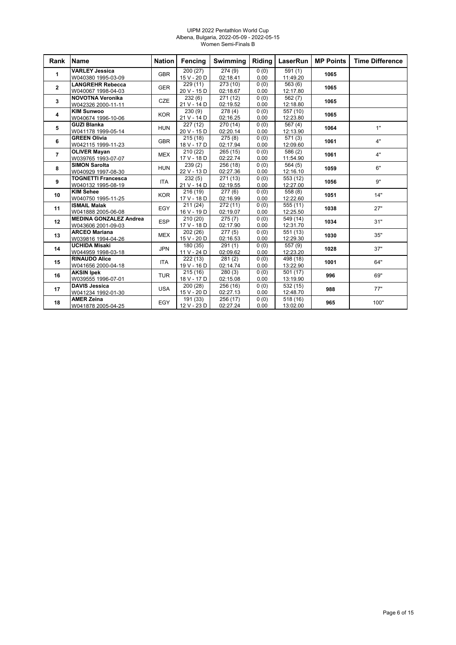#### UIPM 2022 Pentathlon World Cup Albena, Bulgaria, 2022-05-09 - 2022-05-15 Women Semi-Finals B

| Rank           | <b>Name</b>                                         | <b>Nation</b> | Fencing                             | <b>Swimming</b>      | Riding       | LaserRun             | <b>MP Points</b> | <b>Time Difference</b> |
|----------------|-----------------------------------------------------|---------------|-------------------------------------|----------------------|--------------|----------------------|------------------|------------------------|
| 1              | <b>VARLEY Jessica</b><br>W040380 1995-03-09         | <b>GBR</b>    | 200(27)<br>15 V - 20 D              | 274(9)<br>02:18.41   | 0(0)<br>0.00 | 591(1)<br>11:49.20   | 1065             |                        |
| $\overline{2}$ | <b>LANGREHR Rebecca</b><br>W040067 1998-04-03       | <b>GER</b>    | 229(11)<br>20 V - 15 D              | 273 (10)<br>02:18.67 | 0(0)<br>0.00 | 563(6)<br>12:17.80   | 1065             |                        |
| 3              | <b>NOVOTNA Veronika</b><br>W042326 2000-11-11       | CZE           | 232(6)<br>21 V - 14 D               | 271 (12)<br>02:19.52 | 0(0)<br>0.00 | 562(7)<br>12:18.80   | 1065             |                        |
| 4              | <b>KIM Sunwoo</b><br>W040674 1996-10-06             | <b>KOR</b>    | $\frac{230(9)}{2}$<br>21 V - 14 D   | 278(4)<br>02:16.25   | 0(0)<br>0.00 | 557 (10)<br>12:23.80 | 1065             |                        |
| 5              | <b>GUZI Blanka</b><br>W041178 1999-05-14            | <b>HUN</b>    | 227(12)<br>20 V - 15 D              | 270 (14)<br>02:20.14 | 0(0)<br>0.00 | 567(4)<br>12:13.90   | 1064             | 1"                     |
| 6              | <b>GREEN Olivia</b><br>W042115 1999-11-23           | <b>GBR</b>    | 215(18)<br>18 V - 17 D              | 275(8)<br>02:17.94   | 0(0)<br>0.00 | 571(3)<br>12:09.60   | 1061             | 4"                     |
| $\overline{7}$ | <b>OLIVER Mayan</b><br>W039765 1993-07-07           | <b>MEX</b>    | 210(22)<br>17 V - 18 D              | 265(15)<br>02:22.74  | 0(0)<br>0.00 | 586 (2)<br>11:54.90  | 1061             | 4"                     |
| 8              | <b>SIMON Sarolta</b><br>W040929 1997-08-30          | <b>HUN</b>    | 239(2)<br>22 V - 13 D               | 256 (18)<br>02:27.36 | 0(0)<br>0.00 | 564(5)<br>12:16.10   | 1059             | 6"                     |
| 9              | <b>TOGNETTI Francesca</b><br>W040132 1995-08-19     | <b>ITA</b>    | 232(5)<br>21 V - 14 D               | 271(13)<br>02:19.55  | 0(0)<br>0.00 | 553 (12)<br>12:27.00 | 1056             | 9"                     |
| 10             | <b>KIM Sehee</b><br>W040750 1995-11-25              | <b>KOR</b>    | 216(19)<br>17 V - 18 D              | 277(6)<br>02:16.99   | 0(0)<br>0.00 | 558 (8)<br>12:22.60  | 1051             | 14"                    |
| 11             | <b>ISMAIL Malak</b><br>W041888 2005-06-08           | EGY           | 211(24)<br>16 V - 19 D              | 272(11)<br>02:19.07  | 0(0)<br>0.00 | 555(11)<br>12:25.50  | 1038             | 27"                    |
| 12             | <b>MEDINA GONZALEZ Andrea</b><br>W043606 2001-09-03 | <b>ESP</b>    | 210(20)<br>17 V - 18 D              | 275(7)<br>02:17.90   | 0(0)<br>0.00 | 549 (14)<br>12:31.70 | 1034             | 31"                    |
| 13             | <b>ARCEO Mariana</b><br>W039816 1994-04-26          | <b>MEX</b>    | 202 (26)<br>15 V - 20 D             | 277(5)<br>02:16.53   | 0(0)<br>0.00 | 551 (13)<br>12:29.30 | 1030             | 35"                    |
| 14             | <b>UCHIDA Misaki</b><br>W044959 1998-03-18          | <b>JPN</b>    | 180(35)<br>11 V - 24 D              | 291(1)<br>02:09.62   | 0(0)<br>0.00 | 557 (9)<br>12:23.20  | 1028             | 37"                    |
| 15             | <b>RINAUDO Alice</b><br>W041656 2000-04-18          | <b>ITA</b>    | 222(13)<br>19 V - 16 D              | 281(2)<br>02:14.74   | 0(0)<br>0.00 | 498 (18)<br>13:22.90 | 1001             | 64"                    |
| 16             | <b>AKSIN Ipek</b><br>W039555 1996-07-01             | <b>TUR</b>    | $\overline{215}(16)$<br>18 V - 17 D | 280(3)<br>02:15.08   | 0(0)<br>0.00 | 501(17)<br>13:19.90  | 996              | 69"                    |
| 17             | <b>DAVIS Jessica</b><br>W041234 1992-01-30          | <b>USA</b>    | 200 (28)<br>15 V - 20 D             | 256 (16)<br>02:27.13 | 0(0)<br>0.00 | 532 (15)<br>12:48.70 | 988              | 77"                    |
| 18             | <b>AMER Zeina</b><br>W041878 2005-04-25             | EGY           | 191 (33)<br>12 V - 23 D             | 256 (17)<br>02:27.24 | 0(0)<br>0.00 | 518(16)<br>13:02.00  | 965              | 100"                   |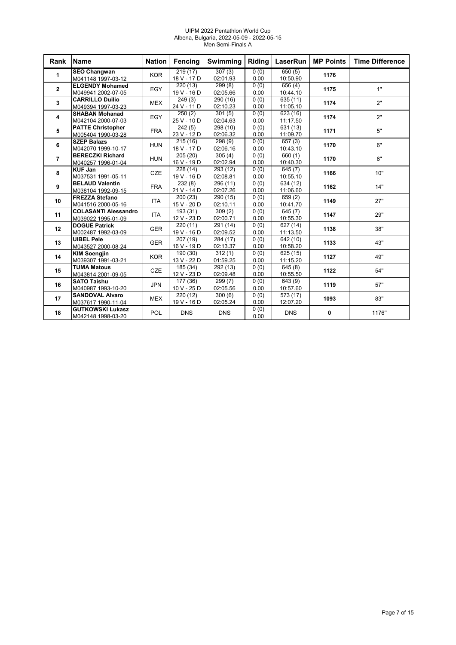#### UIPM 2022 Pentathlon World Cup Albena, Bulgaria, 2022-05-09 - 2022-05-15 Men Semi-Finals A

| Rank           | <b>Name</b>                                       | <b>Nation</b> | Fencing                 | Swimming             | Riding       | LaserRun                         | <b>MP Points</b> | <b>Time Difference</b> |
|----------------|---------------------------------------------------|---------------|-------------------------|----------------------|--------------|----------------------------------|------------------|------------------------|
| 1              | <b>SEO Changwan</b><br>M041148 1997-03-12         | <b>KOR</b>    | 219(17)<br>18 V - 17 D  | 307(3)<br>02:01.93   | 0(0)<br>0.00 | 650(5)<br>10:50.90               | 1176             |                        |
| $\mathbf{2}$   | <b>ELGENDY Mohamed</b><br>M049941 2002-07-05      | EGY           | 220 (13)<br>19 V - 16 D | 299(8)<br>02:05.66   | 0(0)<br>0.00 | 656(4)<br>10:44.10               | 1175             | 1"                     |
| 3              | <b>CARRILLO Duilio</b><br>M049394 1997-03-23      | <b>MEX</b>    | 249(3)<br>24 V - 11 D   | 290 (16)<br>02:10.23 | 0(0)<br>0.00 | 635 (11)<br>11:05.10             | 1174             | 2"                     |
| 4              | <b>SHABAN Mohanad</b><br>M042104 2000-07-03       | EGY           | 250(2)<br>25 V - 10 D   | 301(5)<br>02:04.63   | 0(0)<br>0.00 | 623 (16)<br>11:17.50             | 1174             | 2"                     |
| 5              | <b>PATTE Christopher</b><br>M005404 1990-03-28    | <b>FRA</b>    | 242(5)<br>23 V - 12 D   | 298 (10)<br>02:06.32 | 0(0)<br>0.00 | 631 (13)<br>11:09.70             | 1171             | 5"                     |
| 6              | <b>SZEP Balazs</b><br>M042070 1999-10-17          | <b>HUN</b>    | 215(16)<br>18 V - 17 D  | 298(9)<br>02:06.16   | 0(0)<br>0.00 | $\overline{657}$ (3)<br>10:43.10 | 1170             | 6"                     |
| $\overline{7}$ | <b>BERECZKI Richard</b><br>M040257 1996-01-04     | <b>HUN</b>    | 205 (20)<br>16 V - 19 D | 305(4)<br>02:02.94   | 0(0)<br>0.00 | 660(1)<br>10:40.30               | 1170             | 6"                     |
| 8              | <b>KUF Jan</b><br>M037531 1991-05-11              | <b>CZE</b>    | 228 (14)<br>19 V - 16 D | 293 (12)<br>02:08.81 | 0(0)<br>0.00 | 645(7)<br>10:55.10               | 1166             | 10"                    |
| 9              | <b>BELAUD Valentin</b><br>M038104 1992-09-15      | <b>FRA</b>    | 232(8)<br>21 V - 14 D   | 296 (11)<br>02:07.26 | 0(0)<br>0.00 | 634 (12)<br>11:06.60             | 1162             | 14"                    |
| 10             | <b>FREZZA Stefano</b><br>M041516 2000-05-16       | <b>ITA</b>    | 200 (23)<br>15 V - 20 D | 290 (15)<br>02:10.11 | 0(0)<br>0.00 | 659(2)<br>10:41.70               | 1149             | 27"                    |
| 11             | <b>COLASANTI Alessandro</b><br>M039022 1995-01-09 | <b>ITA</b>    | 193 (31)<br>12 V - 23 D | 309(2)<br>02:00.71   | 0(0)<br>0.00 | 645 (7)<br>10:55.30              | 1147             | 29"                    |
| 12             | <b>DOGUE Patrick</b><br>M002487 1992-03-09        | <b>GER</b>    | 220(11)<br>19 V - 16 D  | 291 (14)<br>02:09.52 | 0(0)<br>0.00 | 627 (14)<br>11:13.50             | 1138             | 38"                    |
| 13             | <b>UIBEL Pele</b><br>M043527 2000-08-24           | <b>GER</b>    | 207 (19)<br>16 V - 19 D | 284 (17)<br>02:13.37 | 0(0)<br>0.00 | 642 (10)<br>10:58.20             | 1133             | 43"                    |
| 14             | <b>KIM Soengjin</b><br>M039307 1991-03-21         | <b>KOR</b>    | 190 (30)<br>13 V - 22 D | 312(1)<br>01:59.25   | 0(0)<br>0.00 | 625 (15)<br>11:15.20             | 1127             | 49"                    |
| 15             | <b>TUMA Matous</b><br>M043814 2001-09-05          | <b>CZE</b>    | 185 (34)<br>12 V - 23 D | 292 (13)<br>02:09.48 | 0(0)<br>0.00 | 645 (8)<br>10:55.50              | 1122             | 54"                    |
| 16             | <b>SATO Taishu</b><br>M040987 1993-10-20          | <b>JPN</b>    | 177 (36)<br>10 V - 25 D | 299(7)<br>02:05.56   | 0(0)<br>0.00 | 643 (9)<br>10:57.60              | 1119             | 57"                    |
| 17             | <b>SANDOVAL Alvaro</b><br>M037617 1990-11-04      | <b>MEX</b>    | 220(12)<br>19 V - 16 D  | 300(6)<br>02:05.24   | 0(0)<br>0.00 | 573 (17)<br>12:07.20             | 1093             | 83"                    |
| 18             | <b>GUTKOWSKI Lukasz</b><br>M042148 1998-03-20     | <b>POL</b>    | <b>DNS</b>              | <b>DNS</b>           | 0(0)<br>0.00 | <b>DNS</b>                       | 0                | 1176"                  |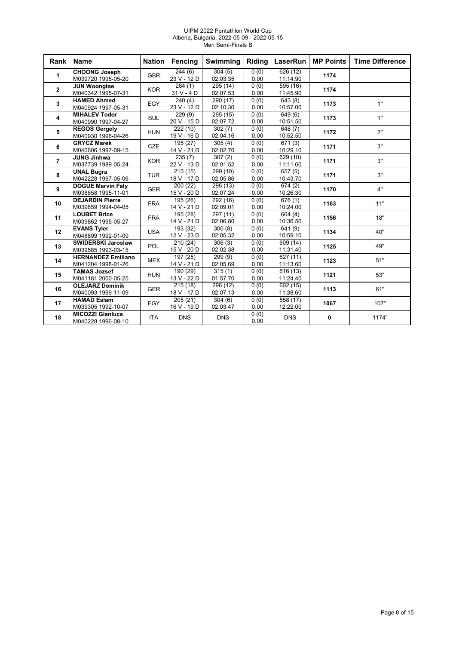#### UIPM 2022 Pentathlon World Cup Albena, Bulgaria, 2022-05-09 - 2022-05-15 Men Semi-Finals B

| Rank                    | <b>Name</b>                                     | <b>Nation</b> | Fencing                              | Swimming             | Riding       | LaserRun                          | <b>MP Points</b> | <b>Time Difference</b> |
|-------------------------|-------------------------------------------------|---------------|--------------------------------------|----------------------|--------------|-----------------------------------|------------------|------------------------|
| 1                       | <b>CHOONG Joseph</b><br>M039720 1995-05-20      | <b>GBR</b>    | $\sqrt{244(6)}$<br>23 V - 12 D       | 304(5)<br>02:03.35   | 0(0)<br>0.00 | 626(12)<br>11:14.90               | 1174             |                        |
| $\mathbf{2}$            | <b>JUN Woongtae</b><br>M040342 1995-07-31       | <b>KOR</b>    | 284(1)<br>$31V - 4D$                 | 295 (14)<br>02:07.53 | 0(0)<br>0.00 | 595 (16)<br>11:45.90              | 1174             |                        |
| 3                       | <b>HAMED Ahmed</b><br>M040924 1997-05-31        | EGY           | 240(4)<br>23 V - 12 D                | 290 (17)<br>02:10.30 | 0(0)<br>0.00 | 643(8)<br>10:57.00                | 1173             | 1"                     |
| $\overline{\mathbf{4}}$ | <b>MIHALEV Todor</b><br>M040990 1997-04-27      | <b>BUL</b>    | 229(9)<br>20 V - 15 D                | 295 (15)<br>02:07.72 | 0(0)<br>0.00 | 649(6)<br>10:51.50                | 1173             | 1"                     |
| 5                       | <b>REGOS Gergely</b><br>M040930 1996-04-26      | <b>HUN</b>    | $\overline{222}$ (10)<br>19 V - 16 D | 302(7)<br>02:04.16   | 0(0)<br>0.00 | $\sqrt{648}$ (7)<br>10:52.50      | 1172             | 2"                     |
| 6                       | <b>GRYCZ Marek</b><br>M040606 1997-09-15        | <b>CZE</b>    | 195(27)<br>14 V - 21 D               | 305(4)<br>02:02.70   | 0(0)<br>0.00 | 671(3)<br>10:29.10                | 1171             | 3"                     |
| $\overline{7}$          | <b>JUNG Jinhwa</b><br>M037739 1989-05-24        | <b>KOR</b>    | 235(7)<br>22 V - 13 D                | 307(2)<br>02:01.52   | 0(0)<br>0.00 | 629 (10)<br>11:11.60              | 1171             | 3"                     |
| 8                       | <b>UNAL Bugra</b><br>M042228 1997-05-06         | <b>TUR</b>    | 215(15)<br>18 V - 17 D               | 299 (10)<br>02:05.86 | 0(0)<br>0.00 | $\overline{657(5)}$<br>10:43.70   | 1171             | 3"                     |
| 9                       | <b>DOGUE Marvin Faly</b><br>M038858 1995-11-01  | <b>GER</b>    | 200 (22)<br>15 V - 20 D              | 296 (13)<br>02:07.24 | 0(0)<br>0.00 | 674(2)<br>10:26.30                | 1170             | 4"                     |
| 10                      | <b>DEJARDIN Pierre</b><br>M039859 1994-04-05    | <b>FRA</b>    | 195 (26)<br>14 V - 21 D              | 292 (16)<br>02:09.01 | 0(0)<br>0.00 | 676 (1)<br>10:24.00               | 1163             | 11"                    |
| 11                      | <b>LOUBET Brice</b><br>M039862 1995-05-27       | <b>FRA</b>    | 195 (28)<br>14 V - 21 D              | 297 (11)<br>02:06.80 | 0(0)<br>0.00 | 664 (4)<br>10:36.50               | 1156             | 18"                    |
| 12                      | <b>EVANS Tyler</b><br>M048899 1992-01-09        | <b>USA</b>    | 193 (32)<br>12 V - 23 D              | 300(8)<br>02:05.32   | 0(0)<br>0.00 | 641 (9)<br>10:59.10               | 1134             | 40"                    |
| 13                      | <b>SWIDERSKI Jaroslaw</b><br>M039585 1993-03-15 | <b>POL</b>    | 210 (24)<br>15 V - 20 D              | 306(3)<br>02:02.38   | 0(0)<br>0.00 | 609 (14)<br>11:31.40              | 1125             | 49"                    |
| 14                      | <b>HERNANDEZ Emiliano</b><br>M041204 1998-01-26 | <b>MEX</b>    | 197(25)<br>14 V - 21 D               | 299(9)<br>02:05.69   | 0(0)<br>0.00 | 627 (11)<br>11:13.60              | 1123             | 51"                    |
| 15                      | <b>TAMAS Jozsef</b><br>M041181 2000-05-25       | <b>HUN</b>    | 190 (29)<br>13 V - 22 D              | 315(1)<br>01:57.70   | 0(0)<br>0.00 | $\overline{616}$ (13)<br>11:24.40 | 1121             | 53"                    |
| 16                      | <b>OLEJARZ Dominik</b><br>M040093 1999-11-09    | <b>GER</b>    | 215(18)<br>18 V - 17 D               | 296 (12)<br>02:07.13 | 0(0)<br>0.00 | 602 (15)<br>11:38.60              | 1113             | 61"                    |
| 17                      | <b>HAMAD Eslam</b><br>M039305 1992-10-07        | EGY           | 205(21)<br>16 V - 19 D               | 304(6)<br>02:03.47   | 0(0)<br>0.00 | 558 (17)<br>12:22.00              | 1067             | 107"                   |
| 18                      | <b>MICOZZI Gianluca</b><br>M040228 1996-08-10   | <b>ITA</b>    | <b>DNS</b>                           | <b>DNS</b>           | 0(0)<br>0.00 | <b>DNS</b>                        | 0                | 1174"                  |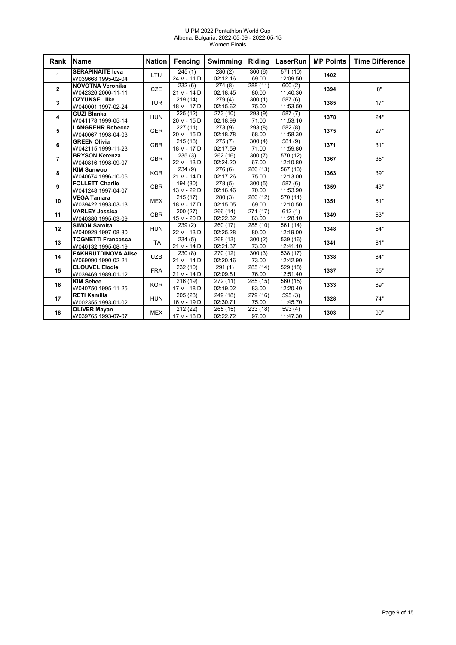#### UIPM 2022 Pentathlon World Cup Albena, Bulgaria, 2022-05-09 - 2022-05-15 Women Finals

| Rank           | <b>Name</b>                                 | <b>Nation</b> | <b>Fencing</b>        | <b>Swimming</b>      | Riding          | LaserRun             | <b>MP Points</b> | <b>Time Difference</b> |
|----------------|---------------------------------------------|---------------|-----------------------|----------------------|-----------------|----------------------|------------------|------------------------|
| 1              | <b>SERAPINAITE leva</b>                     | <b>LTU</b>    | $\sqrt{245(1)}$       | 286(2)               | 300(6)          | 571 (10)             | 1402             |                        |
|                | W039668 1995-02-04                          |               | 24 V - 11 D           | 02:12.16             | 69.00           | 12:09.50             |                  |                        |
| $\mathbf{2}$   | <b>NOVOTNA Veronika</b>                     | <b>CZE</b>    | 232(6)                | 274(8)               | 288 (11)        | 600(2)               | 1394             | 8"                     |
|                | W042326 2000-11-11                          |               | 21 V - 14 D           | 02:18.45             | 80.00           | 11:40.30             |                  |                        |
| 3              | <b>OZYUKSEL IIke</b>                        | <b>TUR</b>    | 219(14)               | 279(4)               | 300(1)          | 587 (6)              | 1385             | 17"                    |
|                | W040001 1997-02-24                          |               | 18 V - 17 D           | 02:15.62             | 75.00           | 11:53.50             |                  |                        |
| 4              | <b>GUZI Blanka</b>                          | <b>HUN</b>    | 225 (12)              | 273 (10)             | 293 (9)         | 587 (7)              | 1378             | 24"                    |
|                | W041178 1999-05-14                          |               | 20 V - 15 D           | 02:18.99             | 71.00           | 11:53.10             |                  |                        |
| 5              | <b>LANGREHR Rebecca</b>                     | <b>GER</b>    | 227(11)               | 273(9)               | 293 (8)         | $\overline{582(8)}$  | 1375             | 27"                    |
|                | W040067 1998-04-03                          |               | 20 V - 15 D           | 02:18.78             | 68.00           | 11:58.30             |                  |                        |
| 6              | <b>GREEN Olivia</b>                         | <b>GBR</b>    | 215(18)               | $\overline{275}$ (7) | 300(4)          | 581 (9)              | 1371             | 31"                    |
|                | W042115 1999-11-23<br><b>BRYSON Kerenza</b> |               | 18 V - 17 D           | 02:17.59             | 71.00           | 11:59.80             |                  |                        |
| $\overline{7}$ |                                             | <b>GBR</b>    | 235(3)<br>22 V - 13 D | 262 (16)<br>02:24.20 | 300(7)<br>67.00 | 570 (12)<br>12:10.80 | 1367             | 35"                    |
|                | W040816 1998-09-07<br><b>KIM Sunwoo</b>     |               | 234(9)                | 276(6)               | 286(13)         |                      |                  |                        |
| 8              | W040674 1996-10-06                          | <b>KOR</b>    | 21 V - 14 D           | 02:17.26             | 75.00           | 567 (13)<br>12:13.00 | 1363             | 39"                    |
|                | <b>FOLLETT Charlie</b>                      |               | 194 (30)              | 278(5)               | 300(5)          | 587 (6)              |                  |                        |
| 9              | W041248 1997-04-07                          | <b>GBR</b>    | 13 V - 22 D           | 02:16.46             | 70.00           | 11:53.90             | 1359             | 43"                    |
|                | <b>VEGA Tamara</b>                          |               | 215(17)               | 280(3)               | 286 (12)        | 570 (11)             |                  |                        |
| 10             | W039422 1993-03-13                          | <b>MEX</b>    | 18 V - 17 D           | 02:15.05             | 69.00           | 12:10.50             | 1351             | 51"                    |
|                | <b>VARLEY Jessica</b>                       |               | 200(27)               | 266 (14)             | 271(17)         | 612(1)               |                  |                        |
| 11             | W040380 1995-03-09                          | <b>GBR</b>    | 15 V - 20 D           | 02:22.32             | 83.00           | 11:28.10             | 1349             | 53"                    |
|                | <b>SIMON Sarolta</b>                        |               | 239(2)                | 260 (17)             | 288 (10)        | 561 (14)             |                  |                        |
| 12             | W040929 1997-08-30                          | <b>HUN</b>    | 22 V - 13 D           | 02:25.28             | 80.00           | 12:19.00             | 1348             | 54"                    |
|                | <b>TOGNETTI Francesca</b>                   |               | 234(5)                | 268 (13)             | 300(2)          | 539 (16)             |                  |                        |
| 13             | W040132 1995-08-19                          | <b>ITA</b>    | 21 V - 14 D           | 02:21.37             | 73.00           | 12:41.10             | 1341             | 61"                    |
|                | <b>FAKHRUTDINOVA Alise</b>                  |               | 230(8)                | 270 (12)             | 300(3)          | 538 (17)             |                  |                        |
| 14             | W069090 1990-02-21                          | <b>UZB</b>    | 21 V - 14 D           | 02:20.46             | 73.00           | 12:42.90             | 1338             | 64"                    |
|                | <b>CLOUVEL Elodie</b>                       |               | 232 (10)              | 291(1)               | 285 (14)        | 529 (18)             |                  |                        |
| 15             | W039469 1989-01-12                          | <b>FRA</b>    | 21 V - 14 D           | 02:09.81             | 76.00           | 12:51.40             | 1337             | 65"                    |
|                | <b>KIM Sehee</b>                            |               | 216 (19)              | 272 (11)             | 285 (15)        | 560 (15)             |                  |                        |
| 16             | W040750 1995-11-25                          | <b>KOR</b>    | 17 V - 18 D           | 02:19.02             | 83.00           | 12:20.40             | 1333             | 69"                    |
|                | <b>RETI Kamilla</b>                         |               | 205(23)               | 249 (18)             | 279 (16)        | 595(3)               |                  |                        |
| 17             | W002355 1993-01-02                          | <b>HUN</b>    | 16 V - 19 D           | 02:30.71             | 75.00           | 11:45.70             | 1328             | 74"                    |
|                | <b>OLIVER Mayan</b>                         |               | $\overline{212}$ (22) | 265 (15)             | 233 (18)        | $\overline{593}$ (4) |                  |                        |
| 18             | W039765 1993-07-07                          | <b>MEX</b>    | 17 V - 18 D           | 02:22.72             | 97.00           | 11:47.30             | 1303             | 99"                    |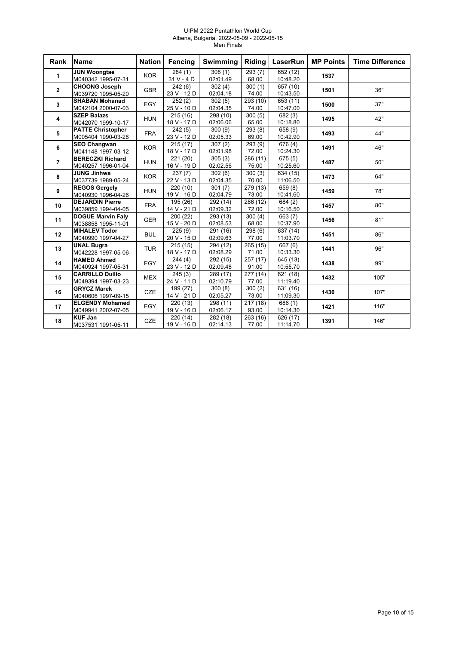#### UIPM 2022 Pentathlon World Cup Albena, Bulgaria, 2022-05-09 - 2022-05-15 Men Finals

| Rank           | <b>Name</b>                                    | <b>Nation</b> | <b>Fencing</b>                      | Swimming                        | Riding                         | <b>LaserRun</b>                | <b>MP Points</b> | <b>Time Difference</b> |
|----------------|------------------------------------------------|---------------|-------------------------------------|---------------------------------|--------------------------------|--------------------------------|------------------|------------------------|
| 1              | <b>JUN Woongtae</b><br>M040342 1995-07-31      | <b>KOR</b>    | 284(1)<br>31 V - 4 D                | 308(1)<br>02:01.49              | 293(7)<br>68.00                | 652 (12)<br>10:48.20           | 1537             |                        |
| $\mathbf{2}$   | <b>CHOONG Joseph</b><br>M039720 1995-05-20     | <b>GBR</b>    | 242(6)<br>23 V - 12 D               | $\overline{302}(4)$<br>02:04.18 | 300(1)<br>74.00                | 657 (10)<br>10:43.50           | 1501             | 36"                    |
| 3              | <b>SHABAN Mohanad</b><br>M042104 2000-07-03    | EGY           | 252(2)<br>25 V - 10 D               | 302(5)<br>02:04.35              | 293 (10)<br>74.00              | 653 (11)<br>10:47.00           | 1500             | 37"                    |
| 4              | <b>SZEP Balazs</b><br>M042070 1999-10-17       | <b>HUN</b>    | 215(16)<br>18 V - 17 D              | 298 (10)<br>02:06.06            | 300(5)<br>65.00                | 682(3)<br>10:18.80             | 1495             | 42"                    |
| 5              | <b>PATTE Christopher</b><br>M005404 1990-03-28 | <b>FRA</b>    | 242(5)<br>23 V - 12 D               | 300(9)<br>02:05.33              | 293(8)<br>69.00                | 658 (9)<br>10:42.90            | 1493             | 44"                    |
| 6              | <b>SEO Changwan</b><br>M041148 1997-03-12      | <b>KOR</b>    | 215(17)<br>18 V - 17 D              | 307(2)<br>02:01.98              | 293 (9)<br>72.00               | 676 (4)<br>10:24.30            | 1491             | 46"                    |
| $\overline{7}$ | <b>BERECZKI Richard</b><br>M040257 1996-01-04  | <b>HUN</b>    | 221 (20)<br>16 V - 19 D             | 305(3)<br>02:02.56              | 286 (11)<br>75.00              | 675(5)<br>10:25.60             | 1487             | 50"                    |
| 8              | <b>JUNG Jinhwa</b><br>M037739 1989-05-24       | <b>KOR</b>    | 237(7)<br>22 V - 13 D               | 302(6)<br>02:04.35              | $\overline{300}$ (3)<br>70.00  | 634 (15)<br>11:06.50           | 1473             | 64"                    |
| 9              | <b>REGOS Gergely</b><br>M040930 1996-04-26     | <b>HUN</b>    | 220(10)<br>19 V - 16 D              | 301(7)<br>02:04.79              | 279(13)<br>73.00               | 659(8)<br>10:41.60             | 1459             | 78"                    |
| 10             | <b>DEJARDIN Pierre</b><br>M039859 1994-04-05   | <b>FRA</b>    | 195 (26)<br>14 V - 21 D             | 292 (14)<br>02:09.32            | $\sqrt{286}$ (12)<br>72.00     | 684(2)<br>10:16.50             | 1457             | 80"                    |
| 11             | <b>DOGUE Marvin Faly</b><br>M038858 1995-11-01 | <b>GER</b>    | 200 (22)<br>15 V - 20 D             | 293 (13)<br>02:08.53            | 300(4)<br>68.00                | 663 (7)<br>10:37.90            | 1456             | 81"                    |
| 12             | <b>MIHALEV Todor</b><br>M040990 1997-04-27     | <b>BUL</b>    | 225(9)<br>20 V - 15 D               | 291 (16)<br>02:09.63            | 298 (6)<br>77.00               | 637 (14)<br>11:03.70           | 1451             | 86"                    |
| 13             | <b>UNAL Bugra</b><br>M042228 1997-05-06        | <b>TUR</b>    | 215(15)<br>18 V - 17 D              | 294 (12)<br>02:08.29            | 265 (15)<br>71.00              | 667 (6)<br>10:33.30            | 1441             | 96"                    |
| 14             | <b>HAMED Ahmed</b><br>M040924 1997-05-31       | EGY           | 244(4)<br>23 V - 12 D               | 292 (15)<br>02:09.48            | 257 (17)<br>91.00              | 645 (13)<br>10:55.70           | 1438             | 99"                    |
| 15             | <b>CARRILLO Duilio</b><br>M049394 1997-03-23   | <b>MEX</b>    | $\overline{245}$ (3)<br>24 V - 11 D | 289 (17)<br>02:10.79            | $\overline{277}$ (14)<br>77.00 | 621 (18)<br>11:19.40           | 1432             | 105"                   |
| 16             | <b>GRYCZ Marek</b><br>M040606 1997-09-15       | <b>CZE</b>    | 199 (27)<br>14 V - 21 D             | 300(8)<br>02:05.27              | 300(2)<br>73.00                | 631 (16)<br>11:09.30           | 1430             | 107"                   |
| 17             | <b>ELGENDY Mohamed</b><br>M049941 2002-07-05   | EGY           | 220(13)<br>19 V - 16 D              | 298 (11)<br>02:06.17            | 217(18)<br>93.00               | 686 (1)<br>10:14.30            | 1421             | 116"                   |
| 18             | <b>KUF Jan</b><br>M037531 1991-05-11           | CZE           | 220(14)<br>19 V - 16 D              | 282(18)<br>02:14.13             | $\overline{263}$ (16)<br>77.00 | $\sqrt{6}$ 26 (17)<br>11:14.70 | 1391             | 146"                   |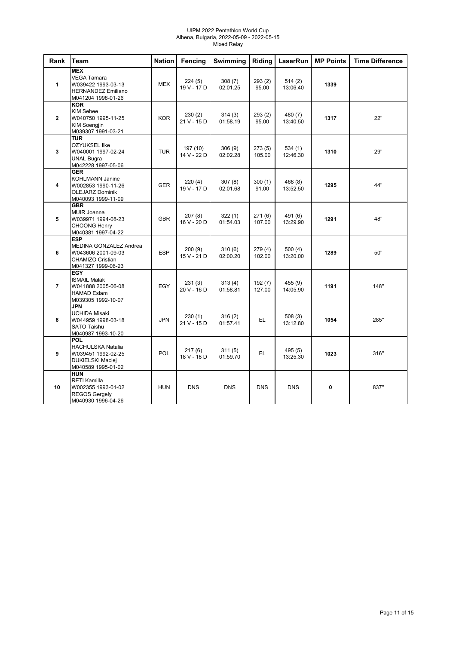#### UIPM 2022 Pentathlon World Cup Albena, Bulgaria, 2022-05-09 - 2022-05-15 Mixed Relay

| Rank           | Team                                                                                                        | <b>Nation</b> | <b>Fencing</b>          | Swimming           | Riding            | LaserRun            | <b>MP Points</b> | <b>Time Difference</b> |
|----------------|-------------------------------------------------------------------------------------------------------------|---------------|-------------------------|--------------------|-------------------|---------------------|------------------|------------------------|
| 1              | <b>MEX</b><br><b>VEGA Tamara</b><br>W039422 1993-03-13<br><b>HERNANDEZ Emiliano</b><br>M041204 1998-01-26   | <b>MEX</b>    | 224(5)<br>19 V - 17 D   | 308(7)<br>02:01.25 | 293(2)<br>95.00   | 514(2)<br>13:06.40  | 1339             |                        |
| $\overline{2}$ | <b>KOR</b><br><b>KIM Sehee</b><br>W040750 1995-11-25<br>KIM Soengjin<br>M039307 1991-03-21                  | <b>KOR</b>    | 230(2)<br>21 V - 15 D   | 314(3)<br>01:58.19 | 293(2)<br>95.00   | 480 (7)<br>13:40.50 | 1317             | 22"                    |
| 3              | <b>TUR</b><br><b>OZYUKSEL Ilke</b><br>W040001 1997-02-24<br><b>UNAL Bugra</b><br>M042228 1997-05-06         | <b>TUR</b>    | 197 (10)<br>14 V - 22 D | 306(9)<br>02:02.28 | 273(5)<br>105.00  | 534(1)<br>12:46.30  | 1310             | 29"                    |
| 4              | <b>GER</b><br><b>KOHLMANN Janine</b><br>W002853 1990-11-26<br><b>OLEJARZ Dominik</b><br>M040093 1999-11-09  | <b>GER</b>    | 220(4)<br>19 V - 17 D   | 307(8)<br>02:01.68 | 300(1)<br>91.00   | 468 (8)<br>13:52.50 | 1295             | 44"                    |
| 5              | <b>GBR</b><br>MUIR Joanna<br>W039971 1994-08-23<br><b>CHOONG Henry</b><br>M040381 1997-04-22                | <b>GBR</b>    | 207(8)<br>16 V - 20 D   | 322(1)<br>01:54.03 | 271(6)<br>107.00  | 491 (6)<br>13:29.90 | 1291             | 48"                    |
| 6              | <b>ESP</b><br>MEDINA GONZALEZ Andrea<br>W043606 2001-09-03<br><b>CHAMIZO Cristian</b><br>M041327 1999-06-23 | <b>ESP</b>    | 200 (9)<br>15 V - 21 D  | 310(6)<br>02:00.20 | 279 (4)<br>102.00 | 500(4)<br>13:20.00  | 1289             | 50"                    |
| $\overline{7}$ | <b>EGY</b><br><b>ISMAIL Malak</b><br>W041888 2005-06-08<br><b>HAMAD Eslam</b><br>M039305 1992-10-07         | EGY           | 231(3)<br>20 V - 16 D   | 313(4)<br>01:58.81 | 192(7)<br>127.00  | 455 (9)<br>14:05.90 | 1191             | 148"                   |
| 8              | <b>JPN</b><br><b>UCHIDA Misaki</b><br>W044959 1998-03-18<br><b>SATO Taishu</b><br>M040987 1993-10-20        | <b>JPN</b>    | 230 (1)<br>21 V - 15 D  | 316(2)<br>01:57.41 | EL.               | 508(3)<br>13:12.80  | 1054             | 285"                   |
| 9              | POL<br><b>HACHULSKA Natalia</b><br>W039451 1992-02-25<br><b>DUKIELSKI Maciej</b><br>M040589 1995-01-02      | <b>POL</b>    | 217(6)<br>18 V - 18 D   | 311(5)<br>01:59.70 | EL                | 495 (5)<br>13:25.30 | 1023             | 316"                   |
| 10             | <b>HUN</b><br><b>RETI Kamilla</b><br>W002355 1993-01-02<br><b>REGOS Gergely</b><br>M040930 1996-04-26       | <b>HUN</b>    | <b>DNS</b>              | <b>DNS</b>         | <b>DNS</b>        | <b>DNS</b>          | $\mathbf{0}$     | 837"                   |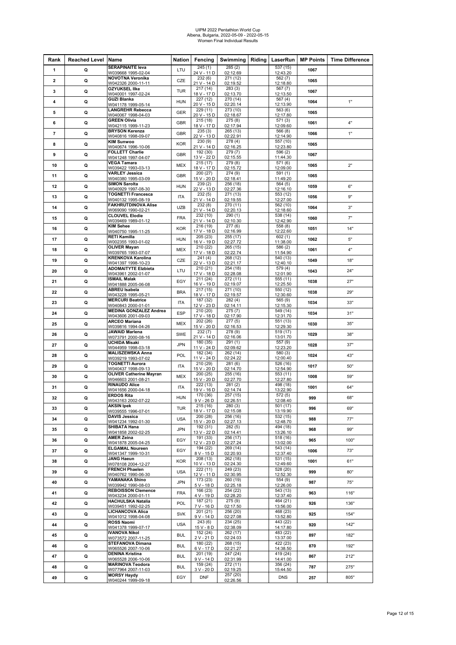# UIPM 2022 Pentathlon World Cup Albena, Bulgaria, 2022-05-09 - 2022-05-15 Women Final Individual Results

| Rank                     | <b>Reached Level Name</b> |                                                      | Nation     | Fencing                 | Swimming             | Riding | LaserRun             | <b>MP Points</b> | <b>Time Difference</b> |
|--------------------------|---------------------------|------------------------------------------------------|------------|-------------------------|----------------------|--------|----------------------|------------------|------------------------|
| 1                        | Q                         | <b>SERAPINAITE leva</b><br>W039668 1995-02-04        | LTU        | 245(1)<br>24 V - 11 D   | 285(2)<br>02:12.69   |        | 537 (15)<br>12:43.20 | 1067             |                        |
| $\mathbf{2}$             | Q                         | <b>NOVOTNA Veronika</b><br>W042326 2000-11-11        | CZE        | 232(6)<br>21 V - 14 D   | 271 (12)<br>02:19.52 |        | 562(7)<br>12:18.80   | 1065             |                        |
| 3                        | Q                         | <b>OZYUKSEL IIke</b><br>W040001 1997-02-24           | <b>TUR</b> | 217 (14)<br>18 V - 17 D | 283(3)<br>02:13.70   |        | 567 (7)<br>12:13.50  | 1067             |                        |
| 4                        | Q                         | <b>GUZI Blanka</b>                                   | <b>HUN</b> | 227 (12)                | 270 (14)             |        | 567(4)               | 1064             | 1"                     |
| 5                        | Q                         | W041178 1999-05-14<br><b>LANGREHR Rebecca</b>        | GER        | 20 V - 15 D<br>229 (11) | 02:20.14<br>273 (10) |        | 12:13.90<br>563(6)   | 1065             |                        |
| 6                        | Q                         | W040067 1998-04-03<br><b>GREEN Olivia</b>            | <b>GBR</b> | 20 V - 15 D<br>215 (18) | 02:18.67<br>275(8)   |        | 12:17.80<br>571(3)   | 1061             | 4"                     |
| $\overline{\phantom{a}}$ | Q                         | W042115 1999-11-23<br><b>BRYSON Kerenza</b>          | GBR        | 18 V - 17 D<br>235(3)   | 02:17.94<br>265 (13) |        | 12:09.60<br>566 (8)  | 1066             | 1"                     |
|                          |                           | W040816 1998-09-07<br><b>KIM Sunwoo</b>              |            | 22 V - 13 D<br>230 (9)  | 02:22.91<br>278 (4)  |        | 12:14.90<br>557 (10) |                  |                        |
| 8                        | Q                         | W040674 1996-10-06<br><b>FOLLETT Charlie</b>         | <b>KOR</b> | 21 V - 14 D<br>192 (30) | 02:16.25<br>279 (7)  |        | 12:23.80<br>596 (2)  | 1065             |                        |
| 9                        | Q                         | W041248 1997-04-07<br><b>VEGA Tamara</b>             | <b>GBR</b> | 13 V - 22 D<br>215(17)  | 02:15.55<br>279 (8)  |        | 11:44.30<br>571 (6)  | 1067             |                        |
| 10                       | Q                         | W039422 1993-03-13<br><b>VARLEY Jessica</b>          | MEX        | 18 V - 17 D<br>200 (27) | 02:15.72             |        | 12:09.00             | 1065             | 2"                     |
| 11                       | Q                         | W040380 1995-03-09                                   | GBR        | 15 V - 20 D             | 274 (9)<br>02:18.41  |        | 591 (1)<br>11:49.20  | 1065             |                        |
| 12                       | Q                         | <b>SIMON Sarolta</b><br>W040929 1997-08-30           | <b>HUN</b> | 239(2)<br>22 V - 13 D   | 256 (18)<br>02:27.36 |        | 564(5)<br>12:16.10   | 1059             | 6"                     |
| 13                       | Q                         | <b>TOGNETTI Francesca</b><br>W040132 1995-08-19      | <b>ITA</b> | 232(5)<br>21 V - 14 D   | 271 (13)<br>02:19.55 |        | 553 (12)<br>12:27.00 | 1056             | 9"                     |
| 14                       | Q                         | <b>FAKHRUTDINOVA Alise</b><br>W069090 1990-02-21     | UZB        | 232(8)<br>21 V - 14 D   | 270 (11)<br>02:20.13 |        | 562 (10)<br>12:18.60 | 1064             | 3"                     |
| 15                       | Q                         | <b>CLOUVEL Elodie</b><br>W039469 1989-01-12          | <b>FRA</b> | 232 (10)<br>21 V - 14 D | 290(1)<br>02:10.30   |        | 538 (14)<br>12:42.90 | 1060             | 7"                     |
| 16                       | Q                         | <b>KIM Sehee</b><br>W040750 1995-11-25               | <b>KOR</b> | 216 (19)<br>17 V - 18 D | 277(6)<br>02:16.99   |        | 558 (8)<br>12:22.60  | 1051             | 14"                    |
| 17                       | Q                         | <b>RETI Kamilla</b><br>W002355 1993-01-02            | <b>HUN</b> | 205 (23)<br>16 V - 19 D | 255 (17)<br>02:27.72 |        | 602(1)<br>11:38.00   | 1062             | 5"                     |
| 18                       | Q                         | <b>OLIVER Mayan</b>                                  | <b>MEX</b> | 210 (22)                | 265 (15)             |        | 586 (2)              | 1061             | 4"                     |
| 19                       | Q                         | W039765 1993-07-07<br><b>KRENKOVA Karolina</b>       | CZE        | 17 V - 18 D<br>241(4)   | 02:22.74<br>268 (12) |        | 11:54.90<br>540 (13) | 1049             | 18"                    |
| 20                       | Q                         | W041397 1998-10-23<br><b>ADOMAITYTE Elzbieta</b>     | LTU        | 22 V - 13 D<br>210 (21) | 02:21.17<br>254 (18) |        | 12:40.10<br>579 (4)  | 1043             | 24"                    |
| 21                       | Q                         | W043961 2002-01-07<br><b>ISMAIL Malak</b>            | EGY        | 17 V - 18 D<br>211 (24) | 02:28.08<br>272 (11) |        | 12:01.90<br>555 (11) | 1038             | 27"                    |
| 22                       | Q                         | W041888 2005-06-08<br><b>ABREU Isabela</b>           | <b>BRA</b> | 16 V - 19 D<br>217 (15) | 02:19.07<br>271 (10) |        | 12:25.50<br>550 (12) | 1038             | 29"                    |
|                          |                           | W043228 1995-05-21<br><b>MERCURI Beatrice</b>        |            | 18 V - 17 D<br>187 (32) | 02:19.57<br>282(4)   |        | 12:30.60<br>565 (9)  |                  |                        |
| 23                       | Q                         | W040843 2000-01-01<br><b>MEDINA GONZALEZ Andrea</b>  | <b>ITA</b> | 12 V - 23 D<br>210 (20) | 02:14.11<br>275 (7)  |        | 12:15.30<br>549 (14) | 1034             | 33"                    |
| 24                       | Q                         | W043606 2001-09-03<br><b>ARCEO Mariana</b>           | <b>ESP</b> | 17 V - 18 D<br>202 (26) | 02:17.90<br>277(5)   |        | 12:31.70<br>551 (13) | 1034             | 31"                    |
| 25                       | Q                         | W039816 1994-04-26<br>JAWAID Marlena                 | MEX        | 15 V - 20 D<br>232(7)   | 02:16.53<br>278 (9)  |        | 12:29.30<br>519 (17) | 1030             | 35"                    |
| 26                       | Q                         | W073791 2000-08-16                                   | SWE        | 21 V - 14 D             | 02:16.06             |        | 13:01.70             | 1029             | 38"                    |
| 27                       | Q                         | UCHIDA Misaki<br>W044959 1998-03-18                  | <b>JPN</b> | 180 (35)<br>11 V - 24 D | 291 (1)<br>02:09.62  |        | 557 (9)<br>12:23.20  | 1028             | 37"                    |
| 28                       | Q                         | <b>MALISZEWSKA Anna</b><br>W039219 1993-07-02        | POL        | 182 (34)<br>11 V - 24 D | 262 (14)<br>02:24.22 |        | 580(3)<br>12:00.40   | 1024             | 43"                    |
| 29                       | Q                         | <b>TOGNETTI Aurora</b><br>W040437 1998-09-13         | ITA        | 210 (29)<br>15 V - 20 D | 281 (6)<br>02:14.70  |        | 526 (16)<br>12:54.90 | 1017             | 50"                    |
| 30                       | Q                         | <b>OLIVER Catherine Mayran</b><br>W046603 2001-08-21 | MEX        | 200 (25)<br>15 V - 20 D | 255 (16)<br>02:27.70 |        | 553 (11)<br>12:27.80 | 1008             | 59"                    |
| 31                       | Q                         | RINAUDO Alice<br>W041656 2000-04-18                  | ITA        | 222 (13)<br>19 V - 16 D | 281(2)<br>02:14.74   |        | 498 (18)<br>13:22.90 | 1001             | 64"                    |
| 32                       | Q                         | <b>ERDOS Rita</b><br>W043163 2002-07-22              | <b>HUN</b> | 170 (36)<br>$9V - 26D$  | 257 (15)<br>02:26.51 |        | 572 (5)<br>12:08.40  | 999              | 68"                    |
| 33                       | Q                         | <b>AKSIN Ipek</b><br>W039555 1996-07-01              | TUR        | 215 (16)<br>18 V - 17 D | 280(3)<br>02:15.08   |        | 501 (17)<br>13:19.90 | 996              | 69"                    |
| 34                       | Q                         | <b>DAVIS Jessica</b>                                 | <b>USA</b> | 200 (28)<br>15 V - 20 D | 256 (16)<br>02:27.13 |        | 532 (15)<br>12:48.70 | 988              | 77"                    |
| 35                       | Q                         | W041234 1992-01-30<br><b>SHIBATA Hana</b>            | <b>JPN</b> | 192 (31)<br>13 V - 22 D | 282(5)               |        | 494 (18)<br>13:26.10 | 968              | 99"                    |
| 36                       | Q                         | W041858 2002-02-25<br>AMER Zeina                     | EGY        | 191 (33)                | 02:14.41<br>256(17)  |        | 518 (16)             | 965              | 100"                   |
| 37                       | Q                         | W041878 2005-04-25<br><b>ELGAMAL Noureen</b>         | EGY        | 12 V - 23 D<br>194 (22) | 02:27.24<br>269 (14) |        | 13:02.00<br>543 (14) | 1006             | 73"                    |
| 38                       | Q                         | W041347 1999-10-31<br><b>JANG Haeun</b>              | KOR        | 8 V - 15 D<br>208 (13)  | 02:20.93<br>262 (18) |        | 12:37.40<br>531 (15) | 1001             | 61"                    |
|                          |                           | W078108 2004-12-27<br><b>FRENCH Phaelen</b>          | <b>USA</b> | 10 V - 13 D<br>222 (11) | 02:24.30<br>249 (23) |        | 12:49.60<br>528 (20) |                  | 80"                    |
| 39                       | Q                         | W040762 1990-06-30<br>YAMANAKA Shino                 |            | 12 V - 11 D<br>173 (23) | 02:30.95<br>260 (19) |        | 12:52.30<br>554 (9)  | 999              |                        |
| 40                       | Q                         | W039942 1990-08-03<br><b>REBOISSON Clemence</b>      | JPN        | 5 V - 18 D<br>166 (23)  | 02:25.18<br>254 (22) |        | 12:26.00<br>543 (13) | 987              | 75"                    |
| 41                       | Q                         | W043234 2000-01-11<br><b>HACHULSKA Natalia</b>       | <b>FRA</b> | 4 V - 19 D<br>187 (21)  | 02:28.20<br>275 (9)  |        | 12:37.40<br>464 (21) | 963              | 116"                   |
| 42                       | Q                         | W039451 1992-02-25                                   | POL        | $7V - 16D$              | 02:17.50             |        | 13:56.00             | 926              | 136"                   |
| 43                       | Q                         | <b>LICHANCOVA Alica</b><br>W041012 1998-04-08        | <b>SVK</b> | 201 (21)<br>9 V - 14 D  | 256 (20)<br>02:27.08 |        | 468 (23)<br>13:52.80 | 925              | 154"                   |
| 44                       | Q                         | ROSS Naomi<br>W041378 1999-07-17                     | <b>USA</b> | 243(6)<br>15 V - 8 D    | 234 (25)<br>02:38.09 |        | 443 (22)<br>14:17.80 | 920              | 142"                   |
| 45                       | Q                         | <b>IVANOVA Nikol</b><br>W073572 2007-11-25           | <b>BUL</b> | 152 (24)<br>2 V - 21 D  | 262 (17)<br>02:24.03 |        | 483 (22)<br>13:37.00 | 897              | 182"                   |
| 46                       | Q                         | <b>STEFANOVA Dimana</b><br>W065526 2007-10-06        | <b>BUL</b> | 180 (22)<br>6 V - 17 D  | 268 (15)<br>02:21.27 |        | 422 (23)<br>14:38.50 | 870              | 192"                   |
| 47                       | Q                         | <b>DENINA Kristina</b><br>W065528 2006-10-06         | <b>BUL</b> | 201 (19)<br>9 V - 14 D  | 247 (24)<br>02:31.99 |        | 419 (24)<br>14:41.00 | 867              | 212"                   |
| 48                       | Q                         | <b>MARINOVA Teodora</b><br>W077964 2007-11-03        | <b>BUL</b> | 159 (24)<br>3 V - 20 D  | 272 (11)<br>02:19.25 |        | 356 (24)<br>15:44.50 | 787              | 275"                   |
| 49                       | Q                         | <b>MORSY Haydy</b><br>W040244 1999-09-18             | EGY        | <b>DNF</b>              | 257 (20)<br>02:26.56 |        | <b>DNS</b>           | 257              | 805"                   |
|                          |                           |                                                      |            |                         |                      |        |                      |                  |                        |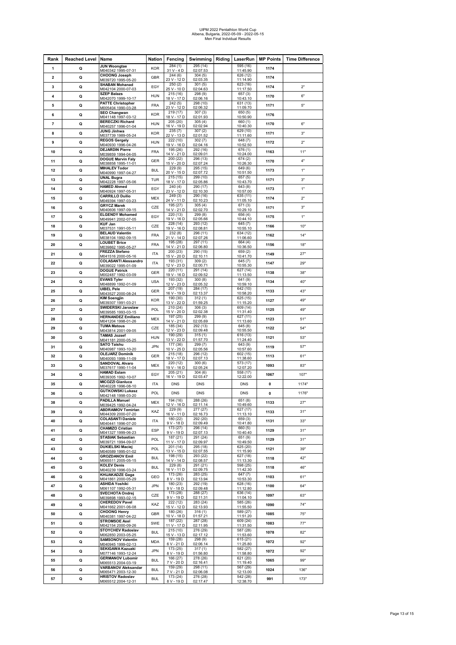## UIPM 2022 Pentathlon World Cup Albena, Bulgaria, 2022-05-09 - 2022-05-15 Men Final Indvidual Results

| Rank                    | Reached Level Name |                                                   | <b>Nation</b> | Fencing                   | Swimming   Riding   LaserRun   MP Points |                                   |      | <b>Time Difference</b> |
|-------------------------|--------------------|---------------------------------------------------|---------------|---------------------------|------------------------------------------|-----------------------------------|------|------------------------|
| 1                       | Q                  | <b>JUN Woongtae</b><br>M040342 1995-07-31         | <b>KOR</b>    | 284(1)<br>31 V - 4 D      | 295 (14)<br>02:07.53                     | 595 (16)<br>11:45.90              | 1174 |                        |
| $\overline{\mathbf{2}}$ | Q                  | <b>CHOONG Joseph</b>                              | <b>GBR</b>    | 244(6)                    | 304(5)                                   | 626 (12)                          | 1174 |                        |
| 3                       | Q                  | M039720 1995-05-20<br><b>SHABAN Mohanad</b>       | EGY           | 23 V - 12 D<br>250(2)     | 02:03.35<br>301(5)                       | 11:14.90<br>623 (16)              | 1174 | 2"                     |
|                         |                    | M042104 2000-07-03<br><b>SZEP Balazs</b>          |               | 25 V - 10 D<br>215 (16)   | 02:04.63<br>298 (9)                      | 11:17.50<br>657(3)                |      |                        |
| 4                       | Q                  | M042070 1999-10-17<br><b>PATTE Christopher</b>    | <b>HUN</b>    | 18 V - 17 D<br>242(5)     | 02:06.16<br>298 (10)                     | 10:43.10<br>631 (13)              | 1170 | 6"                     |
| 5                       | Q                  | M005404 1990-03-28                                | <b>FRA</b>    | 23 V - 12 D               | 02:06.32                                 | 11:09.70                          | 1171 | 5"                     |
| 6                       | Q                  | <b>SEO Changwan</b><br>M041148 1997-03-12         | <b>KOR</b>    | 219 (17)<br>18 V - 17 D   | 307(3)<br>02:01.93                       | 650 (5)<br>10:50.90               | 1176 |                        |
| $\overline{7}$          | Q                  | <b>BERECZKI Richard</b><br>M040257 1996-01-04     | <b>HUN</b>    | 205 (20)<br>16 V - 19 D   | 305(4)<br>02:02.94                       | 660 (1)<br>10:40.30               | 1170 | 6"                     |
| 8                       | Q                  | JUNG Jinhwa                                       | <b>KOR</b>    | 235(7)                    | 307(2)                                   | 629 (10)                          | 1171 | 3"                     |
| 9                       | Q                  | M037739 1989-05-24<br><b>REGOS Gergely</b>        | <b>HUN</b>    | 22 V - 13 D<br>222 (10)   | 02:01.52<br>302(7)                       | 11:11.60<br>648 (7)               | 1172 | 2"                     |
|                         |                    | M040930 1996-04-26<br><b>DEJARDIN Pierre</b>      |               | 19 V - 16 D<br>195 (26)   | 02:04.16<br>292 (16)                     | 10:52.50<br>676(1)                |      |                        |
| 10                      | Q                  | M039859 1994-04-05<br><b>DOGUE Marvin Faly</b>    | <b>FRA</b>    | 14 V - 21 D<br>200(22)    | 02:09.01<br>296 (13)                     | 10:24.00<br>674(2)                | 1163 | 11"                    |
| 11                      | Q                  | M038858 1995-11-01                                | <b>GER</b>    | 15 V - 20 D               | 02:07.24                                 | 10:26.30                          | 1170 | 4"                     |
| 12                      | Q                  | <b>MIHALEV Todor</b><br>M040990 1997-04-27        | <b>BUL</b>    | 229 (9)<br>20 V - 15 D    | 295 (15)<br>02:07.72                     | 649(6)<br>10:51.50                | 1173 | 1"                     |
| 13                      | Q                  | <b>UNAL Bugra</b><br>M042228 1997-05-06           | <b>TUR</b>    | 215 (15)<br>18 V - 17 D   | 299 (10)<br>02:05.86                     | 657 (5)<br>10:43.70               | 1171 | 3"                     |
| 14                      | Q                  | <b>HAMED Ahmed</b>                                | EGY           | 240 (4)<br>23 V - 12 D    | 290 (17)<br>02:10.30                     | 643 (8)<br>10:57.00               | 1173 | 1"                     |
| 15                      | Q                  | M040924 1997-05-31<br><b>CARRILLO Duilio</b>      | <b>MEX</b>    | 249 (3)                   | 290 (16)                                 | 635 (11)                          | 1174 | 2"                     |
|                         | Q                  | M049394 1997-03-23<br><b>GRYCZ Marek</b>          |               | 24 V - 11 D<br>195 (27)   | 02:10.23<br>305(4)                       | 11:05.10<br>671(3)                |      | 3"                     |
| 16                      |                    | M040606 1997-09-15<br><b>ELGENDY Mohamed</b>      | CZE           | 14 V - 21 D<br>220 (13)   | 02:02.70<br>299 (8)                      | 10:29.10<br>656 (4)               | 1171 |                        |
| 17                      | Q                  | M049941 2002-07-05                                | EGY           | 19 V - 16 D               | 02:05.66                                 | 10:44.10                          | 1175 | 1"                     |
| 18                      | Q                  | <b>KUF Jan</b><br>M037531 1991-05-11              | CZE           | 228 (14)<br>19 V - 16 D   | 293 (12)<br>02:08.81                     | 645 (7)<br>10:55.10               | 1166 | 10"                    |
| 19                      | Q                  | <b>BELAUD Valentin</b><br>M038104 1992-09-15      | <b>FRA</b>    | 232(8)<br>21 V - 14 D     | 296 (11)<br>02:07.26                     | 634 (12)<br>11:06.60              | 1162 | 14"                    |
| 20                      | Q                  | <b>LOUBET Brice</b><br>M039862 1995-05-27         | <b>FRA</b>    | 195 (28)<br>14 V - 21 D   | 297(11)<br>02:06.80                      | 664(4)<br>10:36.50                | 1156 | 18"                    |
| 21                      | Q                  | <b>FREZZA Stefano</b>                             | <b>ITA</b>    | 200(23)                   | 290 (15)                                 | 659(2)                            | 1149 | 27"                    |
| 22                      | Q                  | M041516 2000-05-16<br><b>COLASANTI Alessandro</b> | <b>ITA</b>    | 15 V - 20 D<br>193 (31)   | 02:10.11<br>309(2)                       | 10:41.70<br>645 (7)               | 1147 | 29"                    |
|                         |                    | M039022 1995-01-09<br><b>DOGUE Patrick</b>        |               | 12 V - 23 D<br>220(11)    | 02:00.71<br>291(14)                      | 10:55.30<br>627 (14)              |      |                        |
| 23                      | Q                  | M002487 1992-03-09<br><b>EVANS Tyler</b>          | GER           | 19 V - 16 D<br>193(32)    | 02:09.52<br>300(8)                       | 11:13.50<br>641(9)                | 1138 | 38"                    |
| 24                      | Q                  | M048899 1992-01-09                                | <b>USA</b>    | 12 V - 23 D               | 02:05.32                                 | 10:59.10                          | 1134 | 40"                    |
| 25                      | Q                  | <b>UIBEL Pele</b><br>M043527 2000-08-24           | GER           | 207 (19)<br>16 V - 19 D   | 284 (17)<br>02:13.37                     | 642 (10)<br>10:58.20              | 1133 | 43"                    |
| 26                      | Q                  | <b>KIM Soengjin</b><br>M039307 1991-03-21         | <b>KOR</b>    | 190 (30)<br>13 V - 22 D   | 312(1)<br>01:59.25                       | 625 (15)<br>11:15.20              | 1127 | 49"                    |
| 27                      | Q                  | SWIDERSKI Jaroslaw                                | POL           | 210 (24)<br>15 V - 20 D   | 306(3)                                   | 609 (14)                          | 1125 | 49"                    |
| 28                      | Q                  | M039585 1993-03-15<br><b>HERNANDEZ Emiliano</b>   | <b>MEX</b>    | 197 (25)                  | 02:02.38<br>299 (9)                      | 11:31.40<br>627 (11)              | 1123 | 51"                    |
| 29                      |                    | M041204 1998-01-26<br><b>TUMA Matous</b>          | CZE           | 14 V - 21 D<br>185 (34)   | 02:05.69<br>292(13)                      | 11:13.60<br>645 (8)               | 1122 | 54"                    |
|                         | Q                  | M043814 2001-09-05<br><b>TAMAS Jozsef</b>         |               | 12 V - 23 D<br>190(29)    | 02:09.48<br>315(1)                       | 10:55.50<br>$\overline{616}$ (13) |      |                        |
| 30                      | Q                  | M041181 2000-05-25                                | <b>HUN</b>    | 13 V - 22 D               | 01:57.70                                 | 11:24.40                          | 1121 | 53"                    |
| 31                      | Q                  | <b>SATO Taishu</b><br>M040987 1993-10-20          | <b>JPN</b>    | 177 (36)<br>10 V - 25 D   | 299 (7)<br>02:05.56                      | 643(9)<br>10:57.60                | 1119 | 57"                    |
| 32                      | Q                  | <b>OLEJARZ Dominik</b><br>M040093 1999-11-09      | GER           | 215 (18)<br>18 V - 17 D   | 296 (12)<br>02:07.13                     | 602 (15)<br>11:38.60              | 1113 | 61"                    |
| 33                      | Q                  | <b>SANDOVAL Alvaro</b><br>M037617 1990-11-04      | <b>MEX</b>    | 220 (12)<br>19 V - 16 D   | 300 (6)<br>02:05.24                      | 573 (17)<br>12:07.20              | 1093 | 83"                    |
| 34                      | Q                  | <b>HAMAD Eslam</b>                                | EGY           | 205 (21)                  | 304(6)                                   | 558 (17)                          | 1067 | 107"                   |
| 35                      | Q                  | M039305 1992-10-07<br><b>MICOZZI Gianluca</b>     | <b>ITA</b>    | 16 V - 19 D<br><b>DNS</b> | 02:03.47<br><b>DNS</b>                   | 12:22.00<br><b>DNS</b>            | 0    | 1174"                  |
|                         |                    | M040228 1996-08-10<br><b>GUTKOWSKI Lukasz</b>     |               |                           |                                          |                                   |      |                        |
| 36                      | Q                  | M042148 1998-03-20                                | POL           | <b>DNS</b>                | <b>DNS</b>                               | <b>DNS</b>                        | 0    | 1176"                  |
| 38                      | Q                  | PADILLA Manuel<br>M039425 1992-04-24              | MEX           | 194 (16)<br>12 V - 16 D   | 288 (26)<br>02:11.14                     | 651 (8)<br>10:49.60               | 1133 | 27"                    |
| 39                      | Q                  | <b>ABDRAIMOV Temirlan</b><br>M044309 2000-07-20   | KAZ           | 229 (9)<br>16 V - 11 D    | 277 (27)<br>02:16.73                     | 627 (17)<br>11:13.10              | 1133 | 31"                    |
| 40                      | Q                  | <b>COLASANTI Daniele</b><br>M040441 1996-07-20    | <b>ITA</b>    | 180 (22)<br>9 V - 18 D    | 292 (20)<br>02:09.49                     | 659 (3)<br>10:41.80               | 1131 | 33"                    |
| 41                      | Q                  | <b>CHAMIZO Cristian</b>                           | <b>ESP</b>    | 173 (27)                  | 296 (14)                                 | 660 (5)                           | 1129 | 31"                    |
| 42                      | Q                  | M041327 1999-06-23<br><b>STASIAK Sebastian</b>    | POL           | 9 V - 19 D<br>187(21)     | 02:07.13<br>291 (24)                     | 10:40.40<br>651 (9)               | 1129 | 31"                    |
|                         |                    | M039721 1994-09-07<br><b>DUKIELSKI Maciei</b>     | POL           | 11 V - 17 D<br>201 (14)   | 02:09.97<br>295 (18)                     | 10:49.50<br>625 (20)              |      | 39"                    |
| 43                      | Q                  | M040589 1995-01-02<br><b>GROZDANOV Emil</b>       |               | 13 V - 15 D<br>198 (15)   | 02:07.55<br>293 (22)                     | 11:15.90<br>627 (18)              | 1121 |                        |
| 44                      | Q                  | M065511 2005-05-15                                | <b>BUL</b>    | 14 V - 14 D               | 02:08.57                                 | 11:13.30                          | 1118 | 42"                    |
| 45                      | Q                  | <b>KOLEV Denis</b><br>M040239 1996-03-24          | <b>BUL</b>    | 229(8)<br>16 V - 11 D     | 291 (21)<br>02:09.75                     | 598 (25)<br>11:42.30              | 1118 | 46"                    |
| 46                      | Q                  | <b>KHIJAKADZE Gaga</b><br>M041861 2000-05-29      | GEO           | 173 (26)<br>8 V - 19 D    | 283(25)<br>02:13.94                      | 647(7)<br>10:53.30                | 1103 | 61"                    |
| 47                      | Q                  | <b>ASHIDA Yoshiki</b><br>M061107 1992-05-31       | <b>JPN</b>    | 180 (23)<br>$9V - 18D$    | 292 (19)<br>02:09.48                     | 628 (16)<br>11:12.80              | 1100 | 64"                    |
| 48                      | Q                  | <b>SVECHOTA Ondrej</b>                            | CZE           | 173 (28)                  | 288 (27)                                 | 636 (14)                          | 1097 | 63"                    |
| 49                      | Q                  | M039898 1993-02-15<br><b>CHEREDOV Pavel</b>       | KAZ           | 9 V - 19 D<br>222 (12)    | 02:11.31<br>283 (24)                     | 11:04.10<br>585 (26)              | 1090 | 74"                    |
|                         |                    | M041662 2001-06-08<br><b>CHOONG Henry</b>         |               | 15 V - 12 D<br>180 (26)   | 02:13.93<br>316(1)                       | 11:55.50<br>589 (27)              |      |                        |
| 50                      | Q                  | M040381 1997-04-22<br><b>STROMSOE Axel</b>        | GBR           | 10 V - 18 D<br>187(22)    | 01:57.21<br>287 (28)                     | 11:51.20<br>609(24)               | 1085 | 75"                    |
| 51                      | Q                  | M042154 2000-09-26                                | SWE           | 11 V - 17 D               | 02:11.95                                 | 11:31.50                          | 1083 | 77"                    |
| 52                      | Q                  | <b>STOYCHEV Radoslav</b><br>M062850 2003-05-25    | <b>BUL</b>    | 215(10)<br>15 V - 13 D    | 276 (29)<br>02:17.12                     | 587 (28)<br>11:53.60              | 1078 | 82"                    |
| 53                      | Q                  | <b>SAMSONOV Valentin</b><br>M040945 1999-02-13    | <b>MDA</b>    | 159 (28)<br>6 V - 21 D    | 298 (9)<br>02:06.14                      | 615 (21)<br>11:25.80              | 1072 | 92"                    |
| 54                      | Q                  | <b>SEKIGAWA Kazuaki</b>                           | <b>JPN</b>    | 173 (25)                  | 317(1)                                   | 582 (27)                          | 1072 | 92"                    |
| 55                      | Q                  | M077146 1993-12-24<br><b>GERMANOV Lubomir</b>     | <b>BUL</b>    | 8 V - 19 D<br>166 (27)    | 01:56.80<br>278 (26)                     | 11:58.80<br>621 (20)              | 1065 | 99"                    |
|                         |                    | M065513 2004-03-19<br><b>VARBANOV Aleksandar</b>  |               | 7 V - 20 D<br>159 (29)    | 02:16.41<br>298 (11)                     | 11:19.40<br>567 (29)              |      |                        |
| 56                      | Q                  | M065471 2003-12-30<br><b>HRISTOV Radoslav</b>     | <b>BUL</b>    | 7 V - 21 D<br>173 (24)    | 02:06.08<br>276 (28)                     | 12:13.00<br>542 (28)              | 1024 | 136"                   |
| 57                      | Q                  | M065512 2004-12-31                                | <b>BUL</b>    | 8 V - 19 D                | 02:17.47                                 | 12:38.70                          | 991  | 173"                   |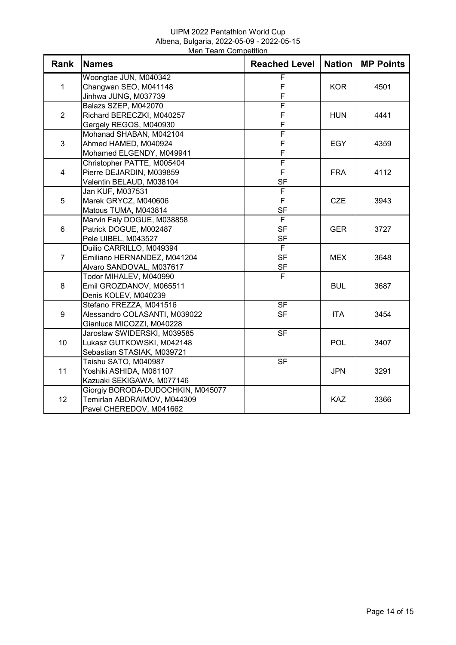## UIPM 2022 Pentathlon World Cup Albena, Bulgaria, 2022-05-09 - 2022-05-15 Men Team Competition

| Rank           | <b>Names</b>                      | <b>Reached Level</b>     | <b>Nation</b> | <b>MP Points</b> |
|----------------|-----------------------------------|--------------------------|---------------|------------------|
| 1              | Woongtae JUN, M040342             | F                        |               |                  |
|                | Changwan SEO, M041148             | F                        | <b>KOR</b>    | 4501             |
|                | Jinhwa JUNG, M037739              | F                        |               |                  |
|                | Balazs SZEP, M042070              | $\overline{\mathsf{F}}$  |               |                  |
| $\overline{2}$ | Richard BERECZKI, M040257         | $\mathsf F$              | <b>HUN</b>    | 4441             |
|                | Gergely REGOS, M040930            | F                        |               |                  |
| 3              | Mohanad SHABAN, M042104           | $\overline{\mathsf{F}}$  |               |                  |
|                | Ahmed HAMED, M040924              | F                        | <b>EGY</b>    | 4359             |
|                | Mohamed ELGENDY, M049941          | F                        |               |                  |
|                | Christopher PATTE, M005404        | F                        |               |                  |
| $\overline{4}$ | Pierre DEJARDIN, M039859          | $\mathsf F$              | <b>FRA</b>    | 4112             |
|                | Valentin BELAUD, M038104          | <b>SF</b>                |               |                  |
|                | Jan KUF, M037531                  | F                        |               |                  |
| 5              | Marek GRYCZ, M040606              | F                        | <b>CZE</b>    | 3943             |
|                | Matous TUMA, M043814              | <b>SF</b>                |               |                  |
|                | Marvin Faly DOGUE, M038858        | $\overline{F}$           |               |                  |
| 6              | Patrick DOGUE, M002487            | <b>SF</b>                | <b>GER</b>    | 3727             |
|                | Pele UIBEL, M043527               | <b>SF</b>                |               |                  |
|                | Duilio CARRILLO, M049394          | F                        |               |                  |
| $\overline{7}$ | Emiliano HERNANDEZ, M041204       | <b>SF</b>                | <b>MEX</b>    | 3648             |
|                | Alvaro SANDOVAL, M037617          | <b>SF</b>                |               |                  |
|                | Todor MIHALEV, M040990            | F                        |               |                  |
| 8              | Emil GROZDANOV, M065511           |                          | <b>BUL</b>    | 3687             |
|                | Denis KOLEV, M040239              |                          |               |                  |
|                | Stefano FREZZA, M041516           | $\overline{\mathsf{SF}}$ |               |                  |
| 9              | Alessandro COLASANTI, M039022     | <b>SF</b>                | <b>ITA</b>    | 3454             |
|                | Gianluca MICOZZI, M040228         |                          |               |                  |
|                | Jaroslaw SWIDERSKI, M039585       | $S$ F                    |               |                  |
| 10             | Lukasz GUTKOWSKI, M042148         |                          | <b>POL</b>    | 3407             |
|                | Sebastian STASIAK, M039721        |                          |               |                  |
|                | Taishu SATO, M040987              | $\overline{\mathsf{SF}}$ |               |                  |
| 11             | Yoshiki ASHIDA, M061107           |                          | <b>JPN</b>    | 3291             |
|                | Kazuaki SEKIGAWA, M077146         |                          |               |                  |
|                | Giorgiy BORODA-DUDOCHKIN, M045077 |                          |               |                  |
| 12             | Temirlan ABDRAIMOV, M044309       |                          | <b>KAZ</b>    | 3366             |
|                | Pavel CHEREDOV, M041662           |                          |               |                  |